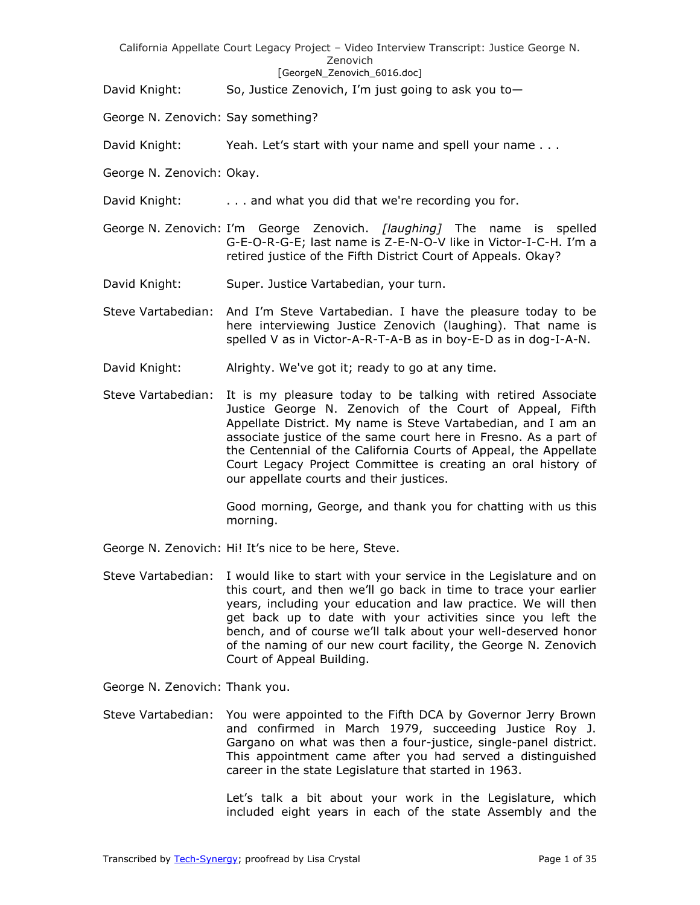#### [GeorgeN Zenovich 6016.doc]

David Knight: So, Justice Zenovich, I'm just going to ask you to-

- George N. Zenovich: Say something?
- David Knight: Yeah. Let's start with your name and spell your name . . .
- George N. Zenovich: Okay.
- David Knight: . . . . . . . . and what you did that we're recording you for.
- George N. Zenovich: I'm George Zenovich. *[laughing]* The name is spelled G-E-O-R-G-E; last name is Z-E-N-O-V like in Victor-I-C-H. I'm a retired justice of the Fifth District Court of Appeals. Okay?
- David Knight: Super. Justice Vartabedian, your turn.
- Steve Vartabedian: And I'm Steve Vartabedian. I have the pleasure today to be here interviewing Justice Zenovich (laughing). That name is spelled V as in Victor-A-R-T-A-B as in boy-E-D as in dog-I-A-N.
- David Knight: Alrighty. We've got it; ready to go at any time.
- Steve Vartabedian: It is my pleasure today to be talking with retired Associate Justice George N. Zenovich of the Court of Appeal, Fifth Appellate District. My name is Steve Vartabedian, and I am an associate justice of the same court here in Fresno. As a part of the Centennial of the California Courts of Appeal, the Appellate Court Legacy Project Committee is creating an oral history of our appellate courts and their justices.

Good morning, George, and thank you for chatting with us this morning.

- George N. Zenovich: Hi! It's nice to be here, Steve.
- Steve Vartabedian: I would like to start with your service in the Legislature and on this court, and then we'll go back in time to trace your earlier years, including your education and law practice. We will then get back up to date with your activities since you left the bench, and of course we'll talk about your well-deserved honor of the naming of our new court facility, the George N. Zenovich Court of Appeal Building.

George N. Zenovich: Thank you.

Steve Vartabedian: You were appointed to the Fifth DCA by Governor Jerry Brown and confirmed in March 1979, succeeding Justice Roy J. Gargano on what was then a four-justice, single-panel district. This appointment came after you had served a distinguished career in the state Legislature that started in 1963.

> Let's talk a bit about your work in the Legislature, which included eight years in each of the state Assembly and the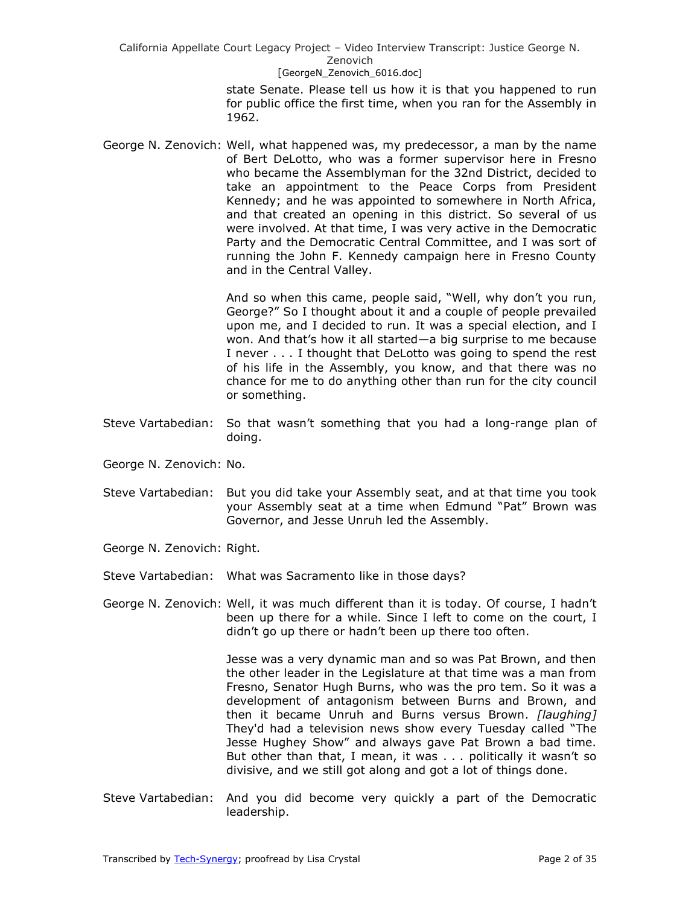#### [GeorgeN Zenovich 6016.doc]

state Senate. Please tell us how it is that you happened to run for public office the first time, when you ran for the Assembly in 1962.

George N. Zenovich: Well, what happened was, my predecessor, a man by the name of Bert DeLotto, who was a former supervisor here in Fresno who became the Assemblyman for the 32nd District, decided to take an appointment to the Peace Corps from President Kennedy; and he was appointed to somewhere in North Africa, and that created an opening in this district. So several of us were involved. At that time, I was very active in the Democratic Party and the Democratic Central Committee, and I was sort of running the John F. Kennedy campaign here in Fresno County and in the Central Valley.

> And so when this came, people said, "Well, why don't you run, George?" So I thought about it and a couple of people prevailed upon me, and I decided to run. It was a special election, and I won. And that's how it all started—a big surprise to me because I never . . . I thought that DeLotto was going to spend the rest of his life in the Assembly, you know, and that there was no chance for me to do anything other than run for the city council or something.

- Steve Vartabedian: So that wasn't something that you had a long-range plan of doing.
- George N. Zenovich: No.
- Steve Vartabedian: But you did take your Assembly seat, and at that time you took your Assembly seat at a time when Edmund "Pat" Brown was Governor, and Jesse Unruh led the Assembly.
- George N. Zenovich: Right.
- Steve Vartabedian: What was Sacramento like in those days?
- George N. Zenovich: Well, it was much different than it is today. Of course, I hadn't been up there for a while. Since I left to come on the court, I didn't go up there or hadn't been up there too often.

Jesse was a very dynamic man and so was Pat Brown, and then the other leader in the Legislature at that time was a man from Fresno, Senator Hugh Burns, who was the pro tem. So it was a development of antagonism between Burns and Brown, and then it became Unruh and Burns versus Brown. *[laughing]* They'd had a television news show every Tuesday called "The Jesse Hughey Show" and always gave Pat Brown a bad time. But other than that, I mean, it was . . . politically it wasn't so divisive, and we still got along and got a lot of things done.

Steve Vartabedian: And you did become very quickly a part of the Democratic leadership.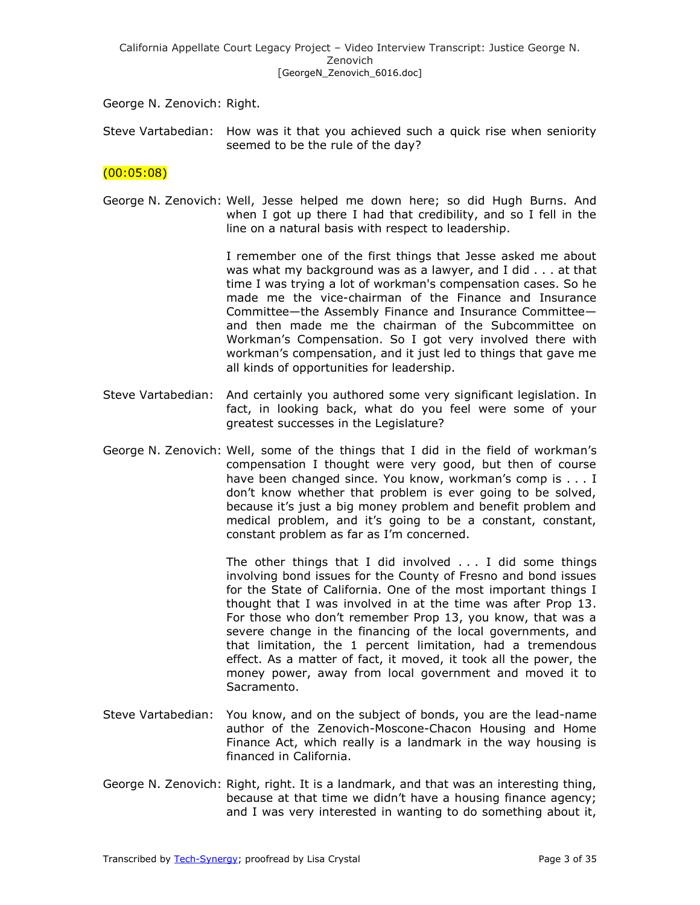George N. Zenovich: Right.

Steve Vartabedian: How was it that you achieved such a quick rise when seniority seemed to be the rule of the day?

# $(00:05:08)$

George N. Zenovich: Well, Jesse helped me down here; so did Hugh Burns. And when I got up there I had that credibility, and so I fell in the line on a natural basis with respect to leadership.

> I remember one of the first things that Jesse asked me about was what my background was as a lawyer, and I did . . . at that time I was trying a lot of workman's compensation cases. So he made me the vice-chairman of the Finance and Insurance Committee—the Assembly Finance and Insurance Committee and then made me the chairman of the Subcommittee on Workman's Compensation. So I got very involved there with workman's compensation, and it just led to things that gave me all kinds of opportunities for leadership.

- Steve Vartabedian: And certainly you authored some very significant legislation. In fact, in looking back, what do you feel were some of your greatest successes in the Legislature?
- George N. Zenovich: Well, some of the things that I did in the field of workman's compensation I thought were very good, but then of course have been changed since. You know, workman's comp is . . . I don't know whether that problem is ever going to be solved, because it's just a big money problem and benefit problem and medical problem, and it's going to be a constant, constant, constant problem as far as I'm concerned.

The other things that I did involved . . . I did some things involving bond issues for the County of Fresno and bond issues for the State of California. One of the most important things I thought that I was involved in at the time was after Prop 13. For those who don't remember Prop 13, you know, that was a severe change in the financing of the local governments, and that limitation, the 1 percent limitation, had a tremendous effect. As a matter of fact, it moved, it took all the power, the money power, away from local government and moved it to Sacramento.

- Steve Vartabedian: You know, and on the subject of bonds, you are the lead-name author of the Zenovich-Moscone-Chacon Housing and Home Finance Act, which really is a landmark in the way housing is financed in California.
- George N. Zenovich: Right, right. It is a landmark, and that was an interesting thing, because at that time we didn't have a housing finance agency; and I was very interested in wanting to do something about it,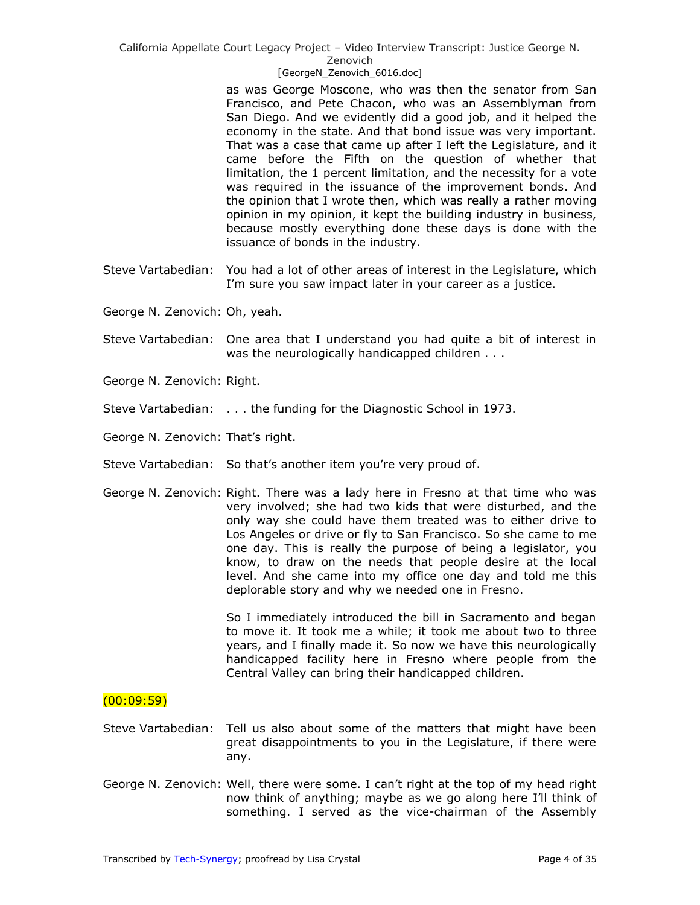#### [GeorgeN Zenovich 6016.doc]

as was George Moscone, who was then the senator from San Francisco, and Pete Chacon, who was an Assemblyman from San Diego. And we evidently did a good job, and it helped the economy in the state. And that bond issue was very important. That was a case that came up after I left the Legislature, and it came before the Fifth on the question of whether that limitation, the 1 percent limitation, and the necessity for a vote was required in the issuance of the improvement bonds. And the opinion that I wrote then, which was really a rather moving opinion in my opinion, it kept the building industry in business, because mostly everything done these days is done with the issuance of bonds in the industry.

- Steve Vartabedian: You had a lot of other areas of interest in the Legislature, which I'm sure you saw impact later in your career as a justice.
- George N. Zenovich: Oh, yeah.
- Steve Vartabedian: One area that I understand you had quite a bit of interest in was the neurologically handicapped children . . .
- George N. Zenovich: Right.
- Steve Vartabedian: . . . the funding for the Diagnostic School in 1973.
- George N. Zenovich: That's right.
- Steve Vartabedian: So that's another item you're very proud of.
- George N. Zenovich: Right. There was a lady here in Fresno at that time who was very involved; she had two kids that were disturbed, and the only way she could have them treated was to either drive to Los Angeles or drive or fly to San Francisco. So she came to me one day. This is really the purpose of being a legislator, you know, to draw on the needs that people desire at the local level. And she came into my office one day and told me this deplorable story and why we needed one in Fresno.

So I immediately introduced the bill in Sacramento and began to move it. It took me a while; it took me about two to three years, and I finally made it. So now we have this neurologically handicapped facility here in Fresno where people from the Central Valley can bring their handicapped children.

### $(00:09:59)$

- Steve Vartabedian: Tell us also about some of the matters that might have been great disappointments to you in the Legislature, if there were any.
- George N. Zenovich: Well, there were some. I can't right at the top of my head right now think of anything; maybe as we go along here I'll think of something. I served as the vice-chairman of the Assembly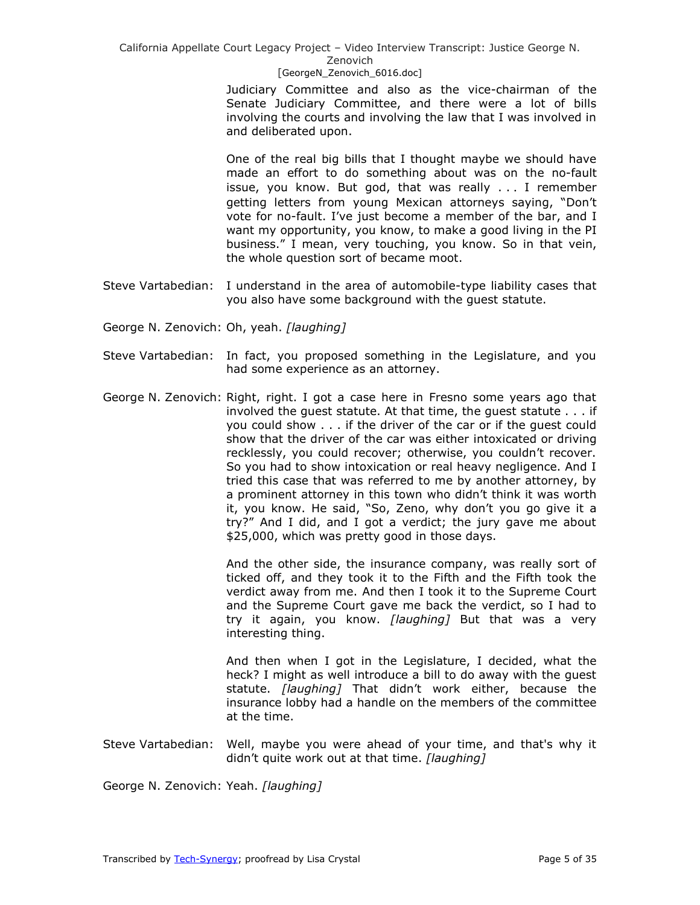### [GeorgeN Zenovich 6016.doc]

Judiciary Committee and also as the vice-chairman of the Senate Judiciary Committee, and there were a lot of bills involving the courts and involving the law that I was involved in and deliberated upon.

One of the real big bills that I thought maybe we should have made an effort to do something about was on the no-fault issue, you know. But god, that was really . . . I remember getting letters from young Mexican attorneys saying, "Don't vote for no-fault. I've just become a member of the bar, and I want my opportunity, you know, to make a good living in the PI business.‖ I mean, very touching, you know. So in that vein, the whole question sort of became moot.

- Steve Vartabedian: I understand in the area of automobile-type liability cases that you also have some background with the guest statute.
- George N. Zenovich: Oh, yeah. *[laughing]*
- Steve Vartabedian: In fact, you proposed something in the Legislature, and you had some experience as an attorney.
- George N. Zenovich: Right, right. I got a case here in Fresno some years ago that involved the guest statute. At that time, the guest statute . . . if you could show . . . if the driver of the car or if the guest could show that the driver of the car was either intoxicated or driving recklessly, you could recover; otherwise, you couldn't recover. So you had to show intoxication or real heavy negligence. And I tried this case that was referred to me by another attorney, by a prominent attorney in this town who didn't think it was worth it, you know. He said, "So, Zeno, why don't you go give it a try?" And I did, and I got a verdict; the jury gave me about \$25,000, which was pretty good in those days.

And the other side, the insurance company, was really sort of ticked off, and they took it to the Fifth and the Fifth took the verdict away from me. And then I took it to the Supreme Court and the Supreme Court gave me back the verdict, so I had to try it again, you know. *[laughing]* But that was a very interesting thing.

And then when I got in the Legislature, I decided, what the heck? I might as well introduce a bill to do away with the guest statute. *[laughing]* That didn't work either, because the insurance lobby had a handle on the members of the committee at the time.

Steve Vartabedian: Well, maybe you were ahead of your time, and that's why it didn't quite work out at that time. *[laughing]*

George N. Zenovich: Yeah. *[laughing]*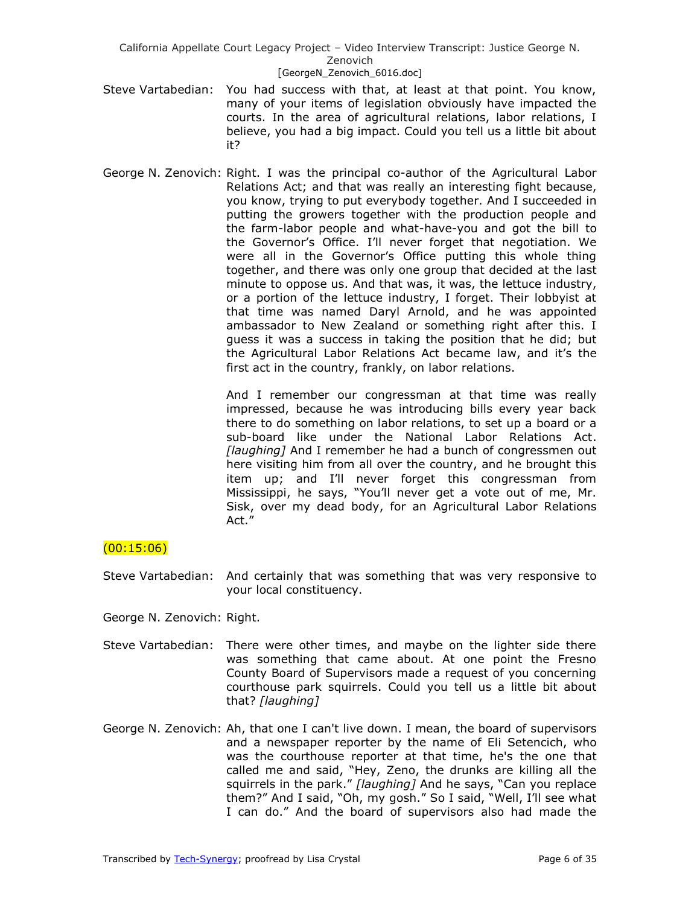#### [GeorgeN Zenovich 6016.doc]

- Steve Vartabedian: You had success with that, at least at that point. You know, many of your items of legislation obviously have impacted the courts. In the area of agricultural relations, labor relations, I believe, you had a big impact. Could you tell us a little bit about it?
- George N. Zenovich: Right. I was the principal co-author of the Agricultural Labor Relations Act; and that was really an interesting fight because, you know, trying to put everybody together. And I succeeded in putting the growers together with the production people and the farm-labor people and what-have-you and got the bill to the Governor's Office. I'll never forget that negotiation. We were all in the Governor's Office putting this whole thing together, and there was only one group that decided at the last minute to oppose us. And that was, it was, the lettuce industry, or a portion of the lettuce industry, I forget. Their lobbyist at that time was named Daryl Arnold, and he was appointed ambassador to New Zealand or something right after this. I guess it was a success in taking the position that he did; but the Agricultural Labor Relations Act became law, and it's the first act in the country, frankly, on labor relations.

And I remember our congressman at that time was really impressed, because he was introducing bills every year back there to do something on labor relations, to set up a board or a sub-board like under the National Labor Relations Act. *[laughing]* And I remember he had a bunch of congressmen out here visiting him from all over the country, and he brought this item up; and I'll never forget this congressman from Mississippi, he says, "You'll never get a vote out of me, Mr. Sisk, over my dead body, for an Agricultural Labor Relations Act."

# $(00:15:06)$

Steve Vartabedian: And certainly that was something that was very responsive to your local constituency.

George N. Zenovich: Right.

- Steve Vartabedian: There were other times, and maybe on the lighter side there was something that came about. At one point the Fresno County Board of Supervisors made a request of you concerning courthouse park squirrels. Could you tell us a little bit about that? *[laughing]*
- George N. Zenovich: Ah, that one I can't live down. I mean, the board of supervisors and a newspaper reporter by the name of Eli Setencich, who was the courthouse reporter at that time, he's the one that called me and said, "Hey, Zeno, the drunks are killing all the squirrels in the park." [laughing] And he says, "Can you replace them?" And I said, "Oh, my gosh." So I said, "Well, I'll see what I can do." And the board of supervisors also had made the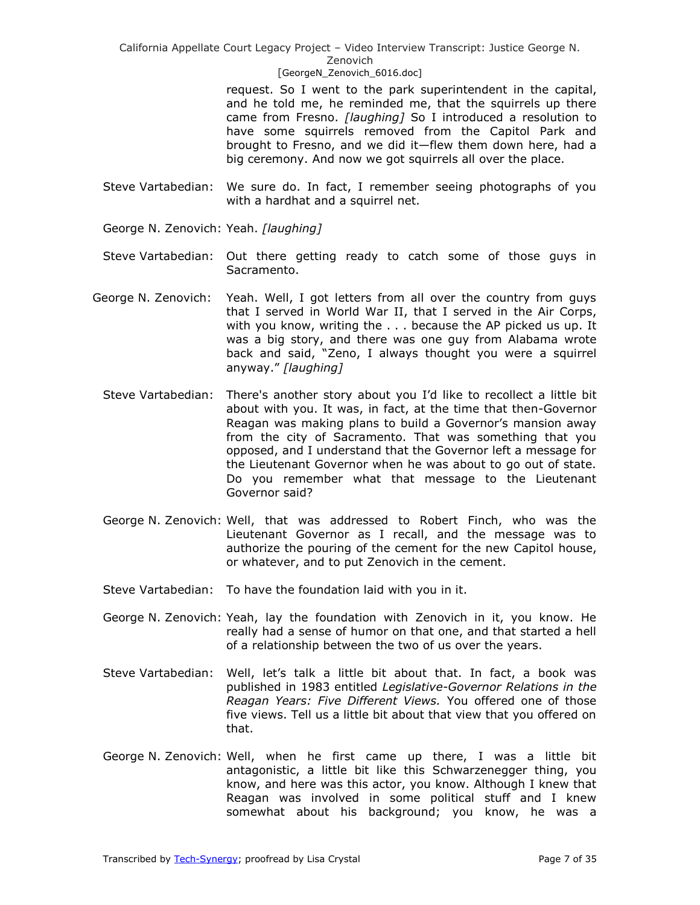#### [GeorgeN Zenovich 6016.doc]

request. So I went to the park superintendent in the capital, and he told me, he reminded me, that the squirrels up there came from Fresno. *[laughing]* So I introduced a resolution to have some squirrels removed from the Capitol Park and brought to Fresno, and we did it—flew them down here, had a big ceremony. And now we got squirrels all over the place.

- Steve Vartabedian: We sure do. In fact, I remember seeing photographs of you with a hardhat and a squirrel net.
- George N. Zenovich: Yeah. *[laughing]*
- Steve Vartabedian: Out there getting ready to catch some of those guys in Sacramento.
- George N. Zenovich: Yeah. Well, I got letters from all over the country from guys that I served in World War II, that I served in the Air Corps, with you know, writing the . . . because the AP picked us up. It was a big story, and there was one guy from Alabama wrote back and said, "Zeno, I always thought you were a squirrel anyway.‖ *[laughing]*
	- Steve Vartabedian: There's another story about you I'd like to recollect a little bit about with you. It was, in fact, at the time that then-Governor Reagan was making plans to build a Governor's mansion away from the city of Sacramento. That was something that you opposed, and I understand that the Governor left a message for the Lieutenant Governor when he was about to go out of state. Do you remember what that message to the Lieutenant Governor said?
	- George N. Zenovich: Well, that was addressed to Robert Finch, who was the Lieutenant Governor as I recall, and the message was to authorize the pouring of the cement for the new Capitol house, or whatever, and to put Zenovich in the cement.
	- Steve Vartabedian: To have the foundation laid with you in it.
	- George N. Zenovich: Yeah, lay the foundation with Zenovich in it, you know. He really had a sense of humor on that one, and that started a hell of a relationship between the two of us over the years.
	- Steve Vartabedian: Well, let's talk a little bit about that. In fact, a book was published in 1983 entitled *Legislative-Governor Relations in the Reagan Years: Five Different Views.* You offered one of those five views. Tell us a little bit about that view that you offered on that.
	- George N. Zenovich: Well, when he first came up there, I was a little bit antagonistic, a little bit like this Schwarzenegger thing, you know, and here was this actor, you know. Although I knew that Reagan was involved in some political stuff and I knew somewhat about his background; you know, he was a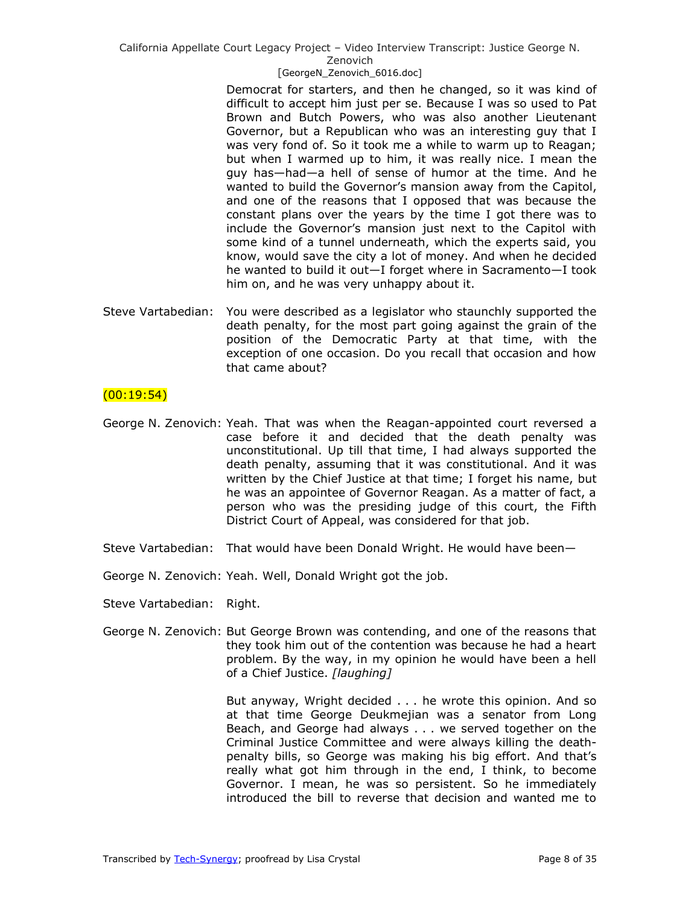#### Zenovich

#### [GeorgeN Zenovich 6016.doc]

Democrat for starters, and then he changed, so it was kind of difficult to accept him just per se. Because I was so used to Pat Brown and Butch Powers, who was also another Lieutenant Governor, but a Republican who was an interesting guy that I was very fond of. So it took me a while to warm up to Reagan; but when I warmed up to him, it was really nice. I mean the guy has—had—a hell of sense of humor at the time. And he wanted to build the Governor's mansion away from the Capitol, and one of the reasons that I opposed that was because the constant plans over the years by the time I got there was to include the Governor's mansion just next to the Capitol with some kind of a tunnel underneath, which the experts said, you know, would save the city a lot of money. And when he decided he wanted to build it out—I forget where in Sacramento—I took him on, and he was very unhappy about it.

Steve Vartabedian: You were described as a legislator who staunchly supported the death penalty, for the most part going against the grain of the position of the Democratic Party at that time, with the exception of one occasion. Do you recall that occasion and how that came about?

# $(00:19:54)$

- George N. Zenovich: Yeah. That was when the Reagan-appointed court reversed a case before it and decided that the death penalty was unconstitutional. Up till that time, I had always supported the death penalty, assuming that it was constitutional. And it was written by the Chief Justice at that time; I forget his name, but he was an appointee of Governor Reagan. As a matter of fact, a person who was the presiding judge of this court, the Fifth District Court of Appeal, was considered for that job.
- Steve Vartabedian: That would have been Donald Wright. He would have been—
- George N. Zenovich: Yeah. Well, Donald Wright got the job.
- Steve Vartabedian: Right.
- George N. Zenovich: But George Brown was contending, and one of the reasons that they took him out of the contention was because he had a heart problem. By the way, in my opinion he would have been a hell of a Chief Justice. *[laughing]*

But anyway, Wright decided . . . he wrote this opinion. And so at that time George Deukmejian was a senator from Long Beach, and George had always . . . we served together on the Criminal Justice Committee and were always killing the deathpenalty bills, so George was making his big effort. And that's really what got him through in the end, I think, to become Governor. I mean, he was so persistent. So he immediately introduced the bill to reverse that decision and wanted me to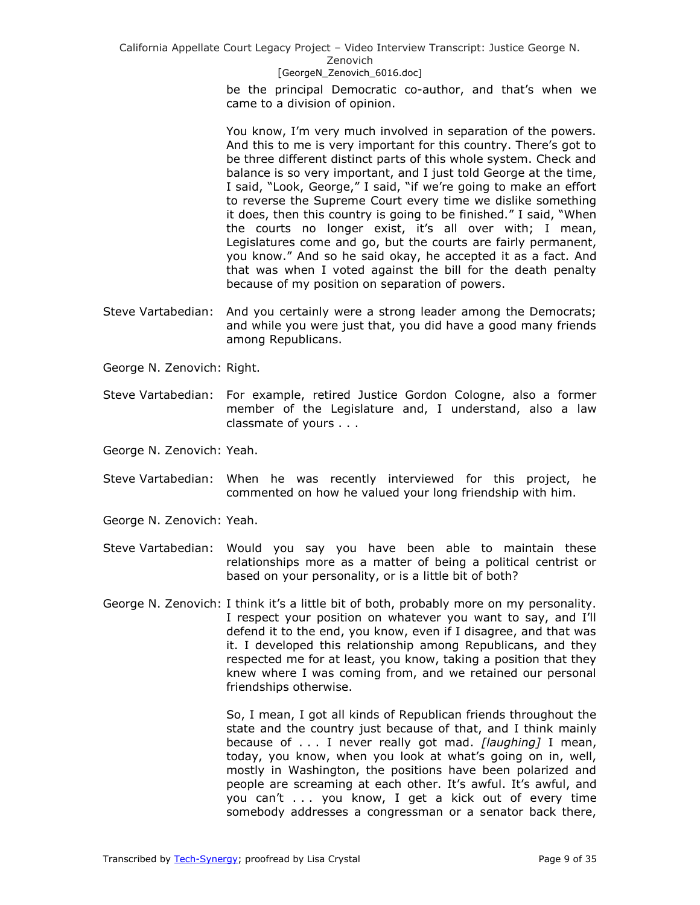> be the principal Democratic co-author, and that's when we came to a division of opinion.

> You know, I'm very much involved in separation of the powers. And this to me is very important for this country. There's got to be three different distinct parts of this whole system. Check and balance is so very important, and I just told George at the time, I said, "Look, George," I said, "if we're going to make an effort to reverse the Supreme Court every time we dislike something it does, then this country is going to be finished." I said, "When the courts no longer exist, it's all over with; I mean, Legislatures come and go, but the courts are fairly permanent, you know.‖ And so he said okay, he accepted it as a fact. And that was when I voted against the bill for the death penalty because of my position on separation of powers.

- Steve Vartabedian: And you certainly were a strong leader among the Democrats; and while you were just that, you did have a good many friends among Republicans.
- George N. Zenovich: Right.
- Steve Vartabedian: For example, retired Justice Gordon Cologne, also a former member of the Legislature and, I understand, also a law classmate of yours . . .
- George N. Zenovich: Yeah.
- Steve Vartabedian: When he was recently interviewed for this project, he commented on how he valued your long friendship with him.
- George N. Zenovich: Yeah.
- Steve Vartabedian: Would you say you have been able to maintain these relationships more as a matter of being a political centrist or based on your personality, or is a little bit of both?
- George N. Zenovich: I think it's a little bit of both, probably more on my personality. I respect your position on whatever you want to say, and I'll defend it to the end, you know, even if I disagree, and that was it. I developed this relationship among Republicans, and they respected me for at least, you know, taking a position that they knew where I was coming from, and we retained our personal friendships otherwise.

So, I mean, I got all kinds of Republican friends throughout the state and the country just because of that, and I think mainly because of . . . I never really got mad. *[laughing]* I mean, today, you know, when you look at what's going on in, well, mostly in Washington, the positions have been polarized and people are screaming at each other. It's awful. It's awful, and you can't . . . you know, I get a kick out of every time somebody addresses a congressman or a senator back there,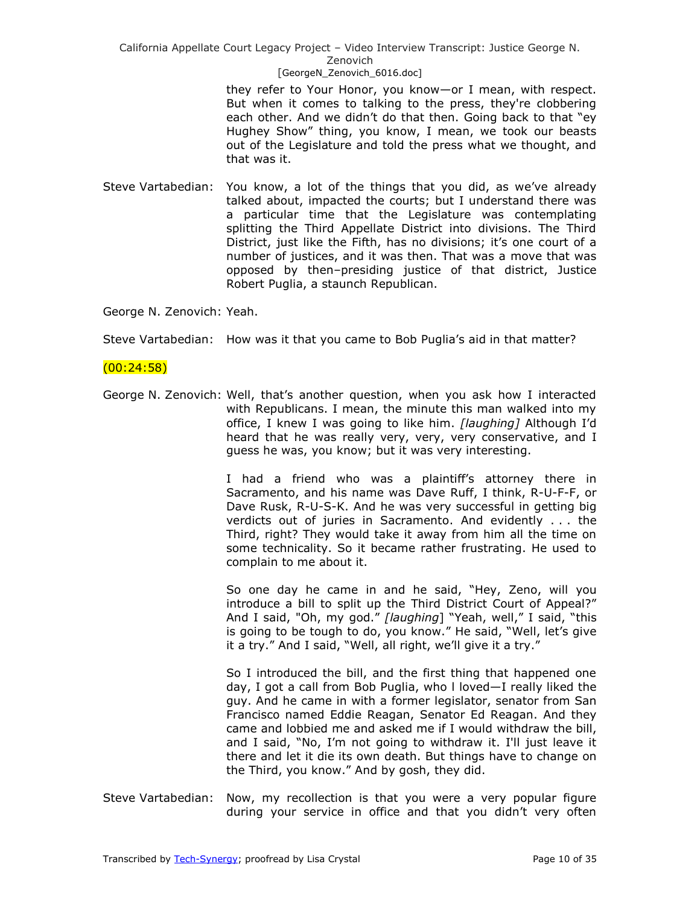> they refer to Your Honor, you know—or I mean, with respect. But when it comes to talking to the press, they're clobbering each other. And we didn't do that then. Going back to that "ey Hughey Show" thing, you know, I mean, we took our beasts out of the Legislature and told the press what we thought, and that was it.

Steve Vartabedian: You know, a lot of the things that you did, as we've already talked about, impacted the courts; but I understand there was a particular time that the Legislature was contemplating splitting the Third Appellate District into divisions. The Third District, just like the Fifth, has no divisions; it's one court of a number of justices, and it was then. That was a move that was opposed by then–presiding justice of that district, Justice Robert Puglia, a staunch Republican.

George N. Zenovich: Yeah.

Steve Vartabedian: How was it that you came to Bob Puglia's aid in that matter?

### (00:24:58)

George N. Zenovich: Well, that's another question, when you ask how I interacted with Republicans. I mean, the minute this man walked into my office, I knew I was going to like him. *[laughing]* Although I'd heard that he was really very, very, very conservative, and I guess he was, you know; but it was very interesting.

> I had a friend who was a plaintiff's attorney there in Sacramento, and his name was Dave Ruff, I think, R-U-F-F, or Dave Rusk, R-U-S-K. And he was very successful in getting big verdicts out of juries in Sacramento. And evidently . . . the Third, right? They would take it away from him all the time on some technicality. So it became rather frustrating. He used to complain to me about it.

> So one day he came in and he said, "Hey, Zeno, will you introduce a bill to split up the Third District Court of Appeal?" And I said, "Oh, my god." [laughing] "Yeah, well," I said, "this is going to be tough to do, you know." He said, "Well, let's give it a try." And I said, "Well, all right, we'll give it a try."

> So I introduced the bill, and the first thing that happened one day, I got a call from Bob Puglia, who l loved—I really liked the guy. And he came in with a former legislator, senator from San Francisco named Eddie Reagan, Senator Ed Reagan. And they came and lobbied me and asked me if I would withdraw the bill, and I said, "No, I'm not going to withdraw it. I'll just leave it there and let it die its own death. But things have to change on the Third, you know." And by gosh, they did.

Steve Vartabedian: Now, my recollection is that you were a very popular figure during your service in office and that you didn't very often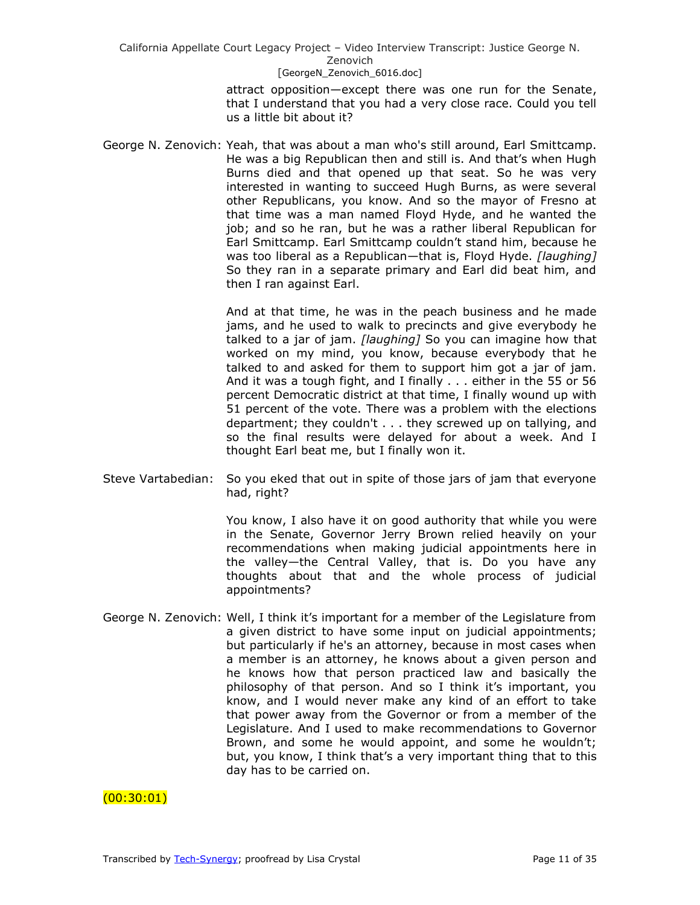> attract opposition—except there was one run for the Senate, that I understand that you had a very close race. Could you tell us a little bit about it?

George N. Zenovich: Yeah, that was about a man who's still around, Earl Smittcamp. He was a big Republican then and still is. And that's when Hugh Burns died and that opened up that seat. So he was very interested in wanting to succeed Hugh Burns, as were several other Republicans, you know. And so the mayor of Fresno at that time was a man named Floyd Hyde, and he wanted the job; and so he ran, but he was a rather liberal Republican for Earl Smittcamp. Earl Smittcamp couldn't stand him, because he was too liberal as a Republican—that is, Floyd Hyde. *[laughing]* So they ran in a separate primary and Earl did beat him, and then I ran against Earl.

> And at that time, he was in the peach business and he made jams, and he used to walk to precincts and give everybody he talked to a jar of jam. *[laughing]* So you can imagine how that worked on my mind, you know, because everybody that he talked to and asked for them to support him got a jar of jam. And it was a tough fight, and I finally . . . either in the 55 or 56 percent Democratic district at that time, I finally wound up with 51 percent of the vote. There was a problem with the elections department; they couldn't . . . they screwed up on tallying, and so the final results were delayed for about a week. And I thought Earl beat me, but I finally won it.

Steve Vartabedian: So you eked that out in spite of those jars of jam that everyone had, right?

> You know, I also have it on good authority that while you were in the Senate, Governor Jerry Brown relied heavily on your recommendations when making judicial appointments here in the valley—the Central Valley, that is. Do you have any thoughts about that and the whole process of judicial appointments?

George N. Zenovich: Well, I think it's important for a member of the Legislature from a given district to have some input on judicial appointments; but particularly if he's an attorney, because in most cases when a member is an attorney, he knows about a given person and he knows how that person practiced law and basically the philosophy of that person. And so I think it's important, you know, and I would never make any kind of an effort to take that power away from the Governor or from a member of the Legislature. And I used to make recommendations to Governor Brown, and some he would appoint, and some he wouldn't; but, you know, I think that's a very important thing that to this day has to be carried on.

 $(00:30:01)$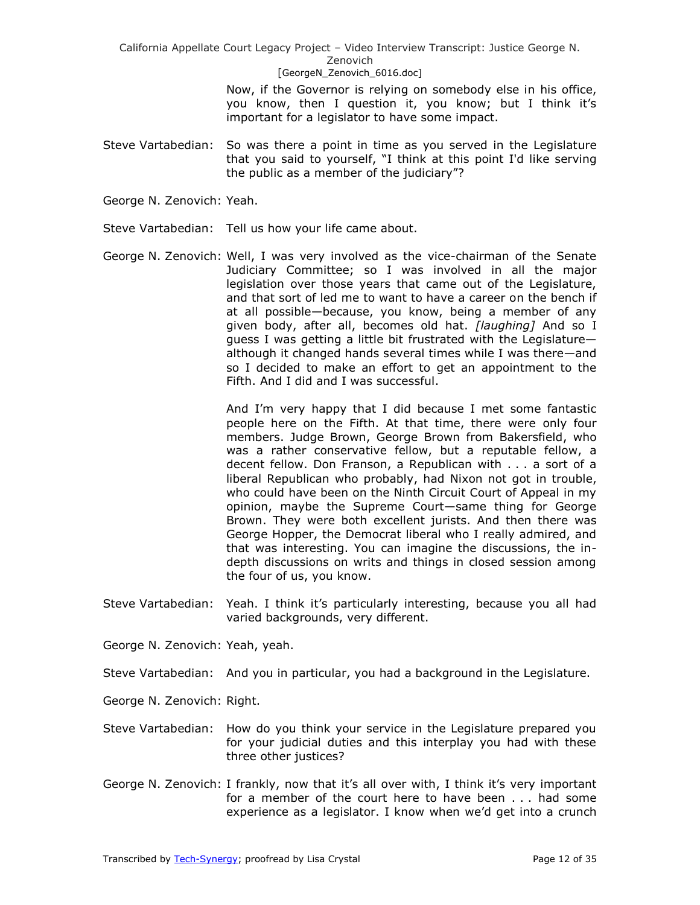> Now, if the Governor is relying on somebody else in his office, you know, then I question it, you know; but I think it's important for a legislator to have some impact.

Steve Vartabedian: So was there a point in time as you served in the Legislature that you said to yourself, "I think at this point I'd like serving the public as a member of the judiciary"?

George N. Zenovich: Yeah.

- Steve Vartabedian: Tell us how your life came about.
- George N. Zenovich: Well, I was very involved as the vice-chairman of the Senate Judiciary Committee; so I was involved in all the major legislation over those years that came out of the Legislature, and that sort of led me to want to have a career on the bench if at all possible—because, you know, being a member of any given body, after all, becomes old hat. *[laughing]* And so I guess I was getting a little bit frustrated with the Legislature although it changed hands several times while I was there—and so I decided to make an effort to get an appointment to the Fifth. And I did and I was successful.

And I'm very happy that I did because I met some fantastic people here on the Fifth. At that time, there were only four members. Judge Brown, George Brown from Bakersfield, who was a rather conservative fellow, but a reputable fellow, a decent fellow. Don Franson, a Republican with . . . a sort of a liberal Republican who probably, had Nixon not got in trouble, who could have been on the Ninth Circuit Court of Appeal in my opinion, maybe the Supreme Court—same thing for George Brown. They were both excellent jurists. And then there was George Hopper, the Democrat liberal who I really admired, and that was interesting. You can imagine the discussions, the indepth discussions on writs and things in closed session among the four of us, you know.

Steve Vartabedian: Yeah. I think it's particularly interesting, because you all had varied backgrounds, very different.

George N. Zenovich: Yeah, yeah.

- Steve Vartabedian: And you in particular, you had a background in the Legislature.
- George N. Zenovich: Right.
- Steve Vartabedian: How do you think your service in the Legislature prepared you for your judicial duties and this interplay you had with these three other justices?
- George N. Zenovich: I frankly, now that it's all over with, I think it's very important for a member of the court here to have been . . . had some experience as a legislator. I know when we'd get into a crunch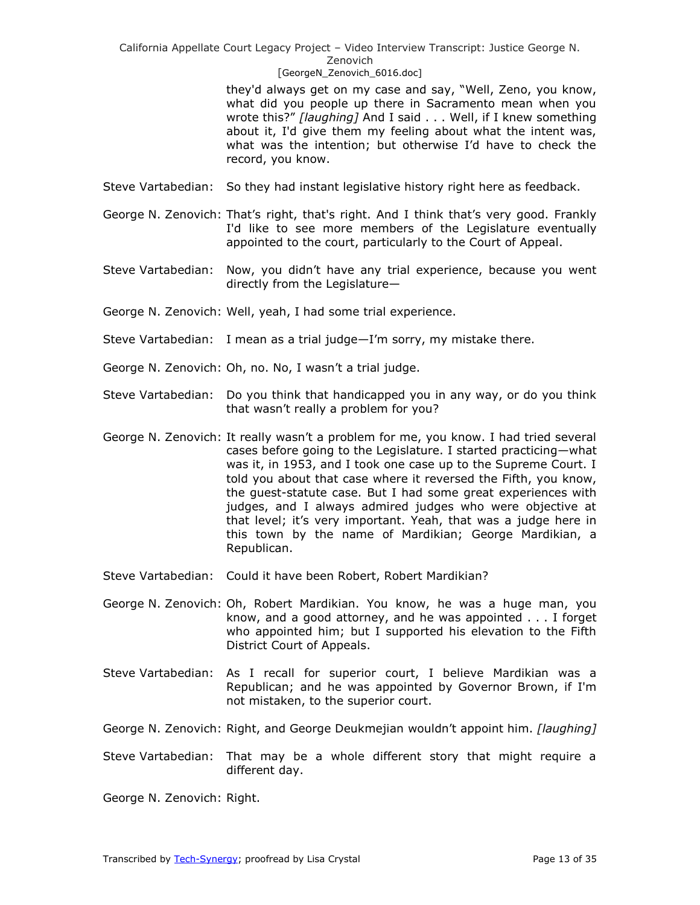#### [GeorgeN Zenovich 6016.doc]

they'd always get on my case and say, "Well, Zeno, you know, what did you people up there in Sacramento mean when you wrote this?" [laughing] And I said . . . Well, if I knew something about it, I'd give them my feeling about what the intent was, what was the intention; but otherwise I'd have to check the record, you know.

- Steve Vartabedian: So they had instant legislative history right here as feedback.
- George N. Zenovich: That's right, that's right. And I think that's very good. Frankly I'd like to see more members of the Legislature eventually appointed to the court, particularly to the Court of Appeal.
- Steve Vartabedian: Now, you didn't have any trial experience, because you went directly from the Legislature—
- George N. Zenovich: Well, yeah, I had some trial experience.
- Steve Vartabedian: I mean as a trial judge—I'm sorry, my mistake there.
- George N. Zenovich: Oh, no. No, I wasn't a trial judge.
- Steve Vartabedian: Do you think that handicapped you in any way, or do you think that wasn't really a problem for you?
- George N. Zenovich: It really wasn't a problem for me, you know. I had tried several cases before going to the Legislature. I started practicing—what was it, in 1953, and I took one case up to the Supreme Court. I told you about that case where it reversed the Fifth, you know, the guest-statute case. But I had some great experiences with judges, and I always admired judges who were objective at that level; it's very important. Yeah, that was a judge here in this town by the name of Mardikian; George Mardikian, a Republican.
- Steve Vartabedian: Could it have been Robert, Robert Mardikian?
- George N. Zenovich: Oh, Robert Mardikian. You know, he was a huge man, you know, and a good attorney, and he was appointed . . . I forget who appointed him; but I supported his elevation to the Fifth District Court of Appeals.
- Steve Vartabedian: As I recall for superior court, I believe Mardikian was a Republican; and he was appointed by Governor Brown, if I'm not mistaken, to the superior court.
- George N. Zenovich: Right, and George Deukmejian wouldn't appoint him. *[laughing]*
- Steve Vartabedian: That may be a whole different story that might require a different day.

George N. Zenovich: Right.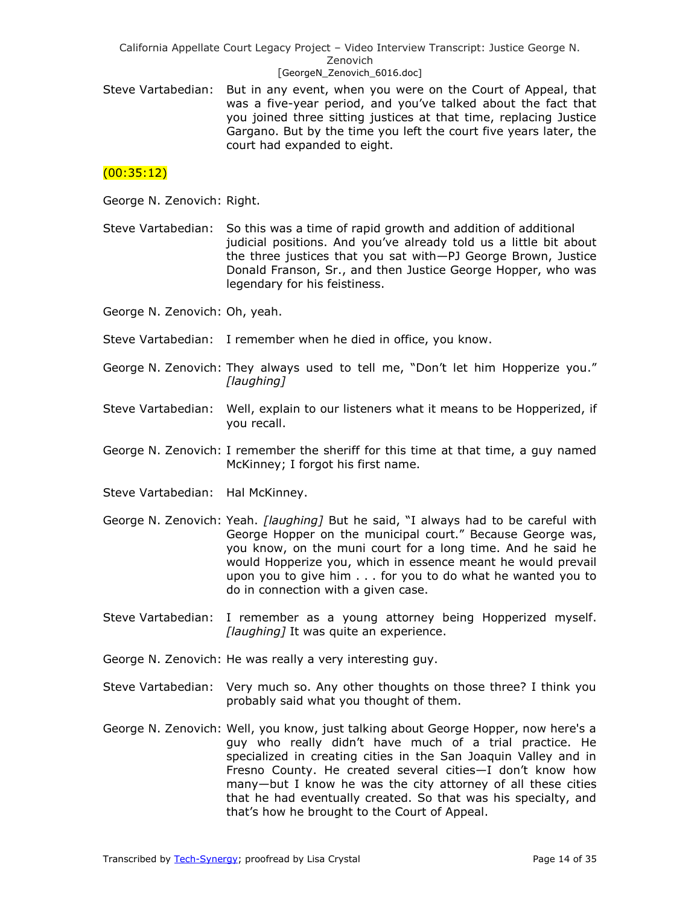#### [GeorgeN Zenovich 6016.doc]

Steve Vartabedian: But in any event, when you were on the Court of Appeal, that was a five-year period, and you've talked about the fact that you joined three sitting justices at that time, replacing Justice Gargano. But by the time you left the court five years later, the court had expanded to eight.

# $(00:35:12)$

George N. Zenovich: Right.

Steve Vartabedian: So this was a time of rapid growth and addition of additional judicial positions. And you've already told us a little bit about the three justices that you sat with—PJ George Brown, Justice Donald Franson, Sr., and then Justice George Hopper, who was legendary for his feistiness.

George N. Zenovich: Oh, yeah.

- Steve Vartabedian: I remember when he died in office, you know.
- George N. Zenovich: They always used to tell me, "Don't let him Hopperize you." *[laughing]*
- Steve Vartabedian: Well, explain to our listeners what it means to be Hopperized, if you recall.
- George N. Zenovich: I remember the sheriff for this time at that time, a guy named McKinney; I forgot his first name.

Steve Vartabedian: Hal McKinney.

- George N. Zenovich: Yeah. *[laughing]* But he said, "I always had to be careful with George Hopper on the municipal court." Because George was, you know, on the muni court for a long time. And he said he would Hopperize you, which in essence meant he would prevail upon you to give him . . . for you to do what he wanted you to do in connection with a given case.
- Steve Vartabedian: I remember as a young attorney being Hopperized myself. *[laughing]* It was quite an experience.
- George N. Zenovich: He was really a very interesting guy.
- Steve Vartabedian: Very much so. Any other thoughts on those three? I think you probably said what you thought of them.
- George N. Zenovich: Well, you know, just talking about George Hopper, now here's a guy who really didn't have much of a trial practice. He specialized in creating cities in the San Joaquin Valley and in Fresno County. He created several cities—I don't know how many—but I know he was the city attorney of all these cities that he had eventually created. So that was his specialty, and that's how he brought to the Court of Appeal.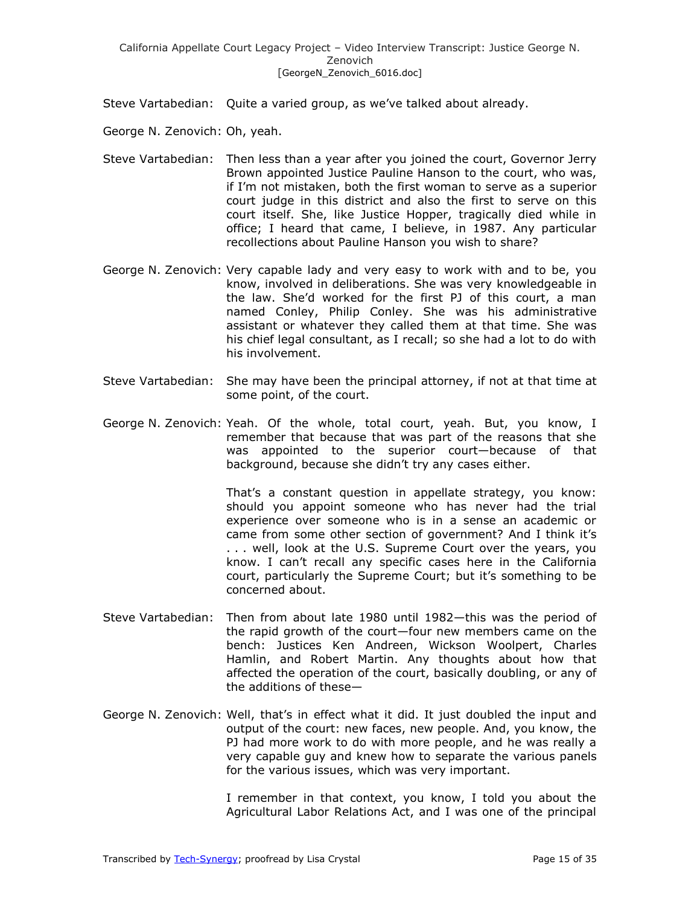Steve Vartabedian: Quite a varied group, as we've talked about already.

George N. Zenovich: Oh, yeah.

- Steve Vartabedian: Then less than a year after you joined the court, Governor Jerry Brown appointed Justice Pauline Hanson to the court, who was, if I'm not mistaken, both the first woman to serve as a superior court judge in this district and also the first to serve on this court itself. She, like Justice Hopper, tragically died while in office; I heard that came, I believe, in 1987. Any particular recollections about Pauline Hanson you wish to share?
- George N. Zenovich: Very capable lady and very easy to work with and to be, you know, involved in deliberations. She was very knowledgeable in the law. She'd worked for the first PJ of this court, a man named Conley, Philip Conley. She was his administrative assistant or whatever they called them at that time. She was his chief legal consultant, as I recall; so she had a lot to do with his involvement.
- Steve Vartabedian: She may have been the principal attorney, if not at that time at some point, of the court.
- George N. Zenovich: Yeah. Of the whole, total court, yeah. But, you know, I remember that because that was part of the reasons that she was appointed to the superior court—because of that background, because she didn't try any cases either.

That's a constant question in appellate strategy, you know: should you appoint someone who has never had the trial experience over someone who is in a sense an academic or came from some other section of government? And I think it's . . . well, look at the U.S. Supreme Court over the years, you know. I can't recall any specific cases here in the California court, particularly the Supreme Court; but it's something to be concerned about.

- Steve Vartabedian: Then from about late 1980 until 1982—this was the period of the rapid growth of the court—four new members came on the bench: Justices Ken Andreen, Wickson Woolpert, Charles Hamlin, and Robert Martin. Any thoughts about how that affected the operation of the court, basically doubling, or any of the additions of these—
- George N. Zenovich: Well, that's in effect what it did. It just doubled the input and output of the court: new faces, new people. And, you know, the PJ had more work to do with more people, and he was really a very capable guy and knew how to separate the various panels for the various issues, which was very important.

I remember in that context, you know, I told you about the Agricultural Labor Relations Act, and I was one of the principal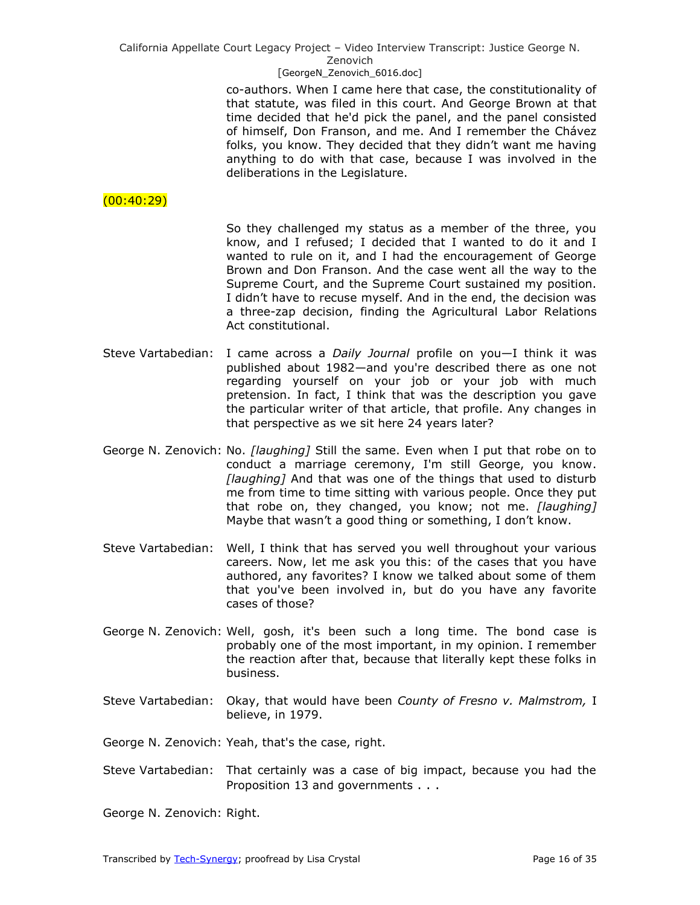#### [GeorgeN Zenovich 6016.doc]

co-authors. When I came here that case, the constitutionality of that statute, was filed in this court. And George Brown at that time decided that he'd pick the panel, and the panel consisted of himself, Don Franson, and me. And I remember the Chávez folks, you know. They decided that they didn't want me having anything to do with that case, because I was involved in the deliberations in the Legislature.

# $(00:40:29)$

So they challenged my status as a member of the three, you know, and I refused; I decided that I wanted to do it and I wanted to rule on it, and I had the encouragement of George Brown and Don Franson. And the case went all the way to the Supreme Court, and the Supreme Court sustained my position. I didn't have to recuse myself. And in the end, the decision was a three-zap decision, finding the Agricultural Labor Relations Act constitutional.

- Steve Vartabedian: I came across a *Daily Journal* profile on you—I think it was published about 1982—and you're described there as one not regarding yourself on your job or your job with much pretension. In fact, I think that was the description you gave the particular writer of that article, that profile. Any changes in that perspective as we sit here 24 years later?
- George N. Zenovich: No. *[laughing]* Still the same. Even when I put that robe on to conduct a marriage ceremony, I'm still George, you know. *[laughing]* And that was one of the things that used to disturb me from time to time sitting with various people. Once they put that robe on, they changed, you know; not me. *[laughing]* Maybe that wasn't a good thing or something, I don't know.
- Steve Vartabedian: Well, I think that has served you well throughout your various careers. Now, let me ask you this: of the cases that you have authored, any favorites? I know we talked about some of them that you've been involved in, but do you have any favorite cases of those?
- George N. Zenovich: Well, gosh, it's been such a long time. The bond case is probably one of the most important, in my opinion. I remember the reaction after that, because that literally kept these folks in business.
- Steve Vartabedian: Okay, that would have been *County of Fresno v. Malmstrom,* I believe, in 1979.
- George N. Zenovich: Yeah, that's the case, right.
- Steve Vartabedian: That certainly was a case of big impact, because you had the Proposition 13 and governments . . .
- George N. Zenovich: Right.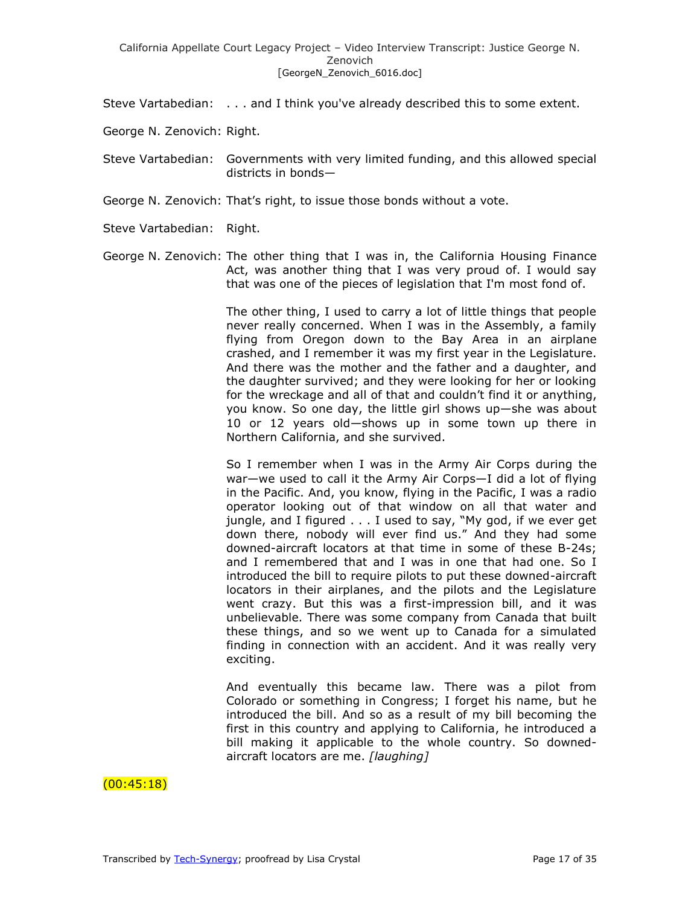- Steve Vartabedian: . . . and I think you've already described this to some extent.
- George N. Zenovich: Right.
- Steve Vartabedian: Governments with very limited funding, and this allowed special districts in bonds—
- George N. Zenovich: That's right, to issue those bonds without a vote.
- Steve Vartabedian: Right.
- George N. Zenovich: The other thing that I was in, the California Housing Finance Act, was another thing that I was very proud of. I would say that was one of the pieces of legislation that I'm most fond of.

The other thing, I used to carry a lot of little things that people never really concerned. When I was in the Assembly, a family flying from Oregon down to the Bay Area in an airplane crashed, and I remember it was my first year in the Legislature. And there was the mother and the father and a daughter, and the daughter survived; and they were looking for her or looking for the wreckage and all of that and couldn't find it or anything, you know. So one day, the little girl shows up—she was about 10 or 12 years old—shows up in some town up there in Northern California, and she survived.

So I remember when I was in the Army Air Corps during the war—we used to call it the Army Air Corps—I did a lot of flying in the Pacific. And, you know, flying in the Pacific, I was a radio operator looking out of that window on all that water and jungle, and I figured . . . I used to say, "My god, if we ever get down there, nobody will ever find us." And they had some downed-aircraft locators at that time in some of these B-24s; and I remembered that and I was in one that had one. So I introduced the bill to require pilots to put these downed-aircraft locators in their airplanes, and the pilots and the Legislature went crazy. But this was a first-impression bill, and it was unbelievable. There was some company from Canada that built these things, and so we went up to Canada for a simulated finding in connection with an accident. And it was really very exciting.

And eventually this became law. There was a pilot from Colorado or something in Congress; I forget his name, but he introduced the bill. And so as a result of my bill becoming the first in this country and applying to California, he introduced a bill making it applicable to the whole country. So downedaircraft locators are me. *[laughing]*

# $(00:45:18)$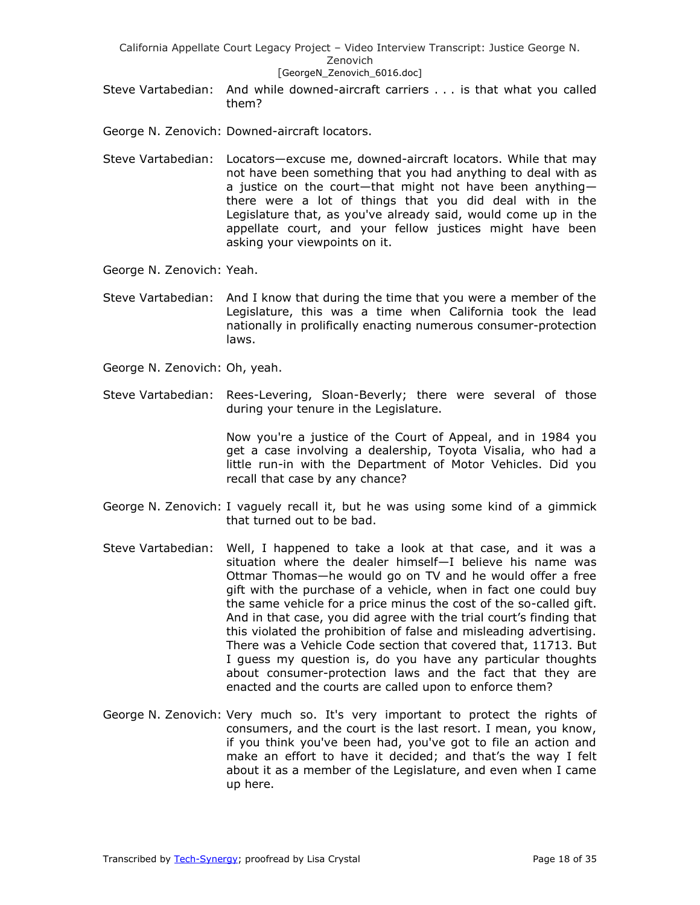Steve Vartabedian: And while downed-aircraft carriers . . . is that what you called them?

George N. Zenovich: Downed-aircraft locators.

- Steve Vartabedian: Locators—excuse me, downed-aircraft locators. While that may not have been something that you had anything to deal with as a justice on the court—that might not have been anything there were a lot of things that you did deal with in the Legislature that, as you've already said, would come up in the appellate court, and your fellow justices might have been asking your viewpoints on it.
- George N. Zenovich: Yeah.
- Steve Vartabedian: And I know that during the time that you were a member of the Legislature, this was a time when California took the lead nationally in prolifically enacting numerous consumer-protection laws.
- George N. Zenovich: Oh, yeah.
- Steve Vartabedian: Rees-Levering, Sloan-Beverly; there were several of those during your tenure in the Legislature.

Now you're a justice of the Court of Appeal, and in 1984 you get a case involving a dealership, Toyota Visalia, who had a little run-in with the Department of Motor Vehicles. Did you recall that case by any chance?

- George N. Zenovich: I vaguely recall it, but he was using some kind of a gimmick that turned out to be bad.
- Steve Vartabedian: Well, I happened to take a look at that case, and it was a situation where the dealer himself—I believe his name was Ottmar Thomas—he would go on TV and he would offer a free gift with the purchase of a vehicle, when in fact one could buy the same vehicle for a price minus the cost of the so-called gift. And in that case, you did agree with the trial court's finding that this violated the prohibition of false and misleading advertising. There was a Vehicle Code section that covered that, 11713. But I guess my question is, do you have any particular thoughts about consumer-protection laws and the fact that they are enacted and the courts are called upon to enforce them?
- George N. Zenovich: Very much so. It's very important to protect the rights of consumers, and the court is the last resort. I mean, you know, if you think you've been had, you've got to file an action and make an effort to have it decided; and that's the way I felt about it as a member of the Legislature, and even when I came up here.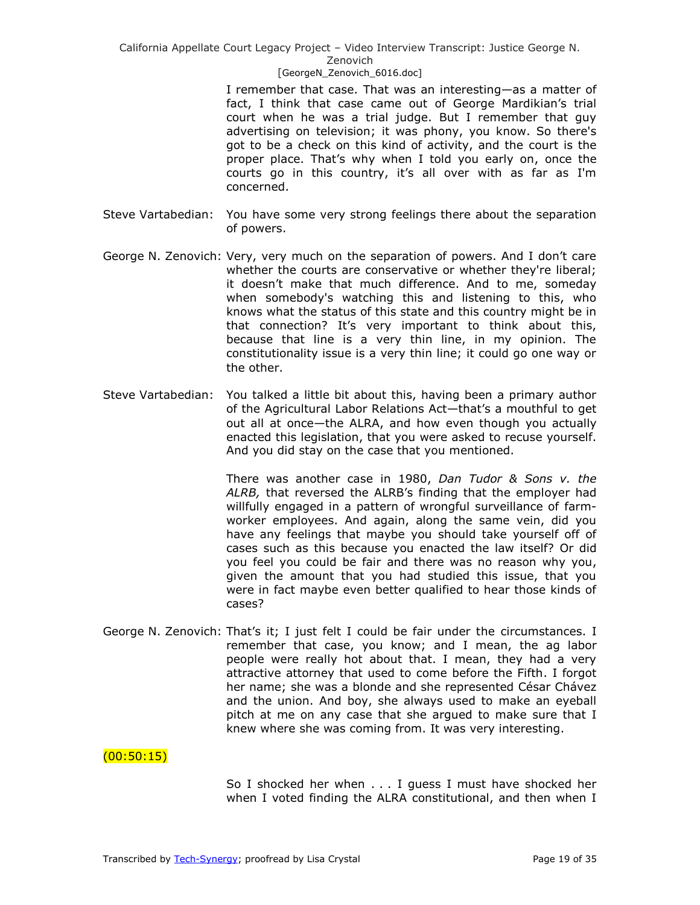#### [GeorgeN Zenovich 6016.doc]

I remember that case. That was an interesting—as a matter of fact, I think that case came out of George Mardikian's trial court when he was a trial judge. But I remember that guy advertising on television; it was phony, you know. So there's got to be a check on this kind of activity, and the court is the proper place. That's why when I told you early on, once the courts go in this country, it's all over with as far as I'm concerned.

- Steve Vartabedian: You have some very strong feelings there about the separation of powers.
- George N. Zenovich: Very, very much on the separation of powers. And I don't care whether the courts are conservative or whether they're liberal; it doesn't make that much difference. And to me, someday when somebody's watching this and listening to this, who knows what the status of this state and this country might be in that connection? It's very important to think about this, because that line is a very thin line, in my opinion. The constitutionality issue is a very thin line; it could go one way or the other.
- Steve Vartabedian: You talked a little bit about this, having been a primary author of the Agricultural Labor Relations Act—that's a mouthful to get out all at once—the ALRA, and how even though you actually enacted this legislation, that you were asked to recuse yourself. And you did stay on the case that you mentioned.

There was another case in 1980, *Dan Tudor & Sons v. the ALRB,* that reversed the ALRB's finding that the employer had willfully engaged in a pattern of wrongful surveillance of farmworker employees. And again, along the same vein, did you have any feelings that maybe you should take yourself off of cases such as this because you enacted the law itself? Or did you feel you could be fair and there was no reason why you, given the amount that you had studied this issue, that you were in fact maybe even better qualified to hear those kinds of cases?

George N. Zenovich: That's it; I just felt I could be fair under the circumstances. I remember that case, you know; and I mean, the ag labor people were really hot about that. I mean, they had a very attractive attorney that used to come before the Fifth. I forgot her name; she was a blonde and she represented César Chávez and the union. And boy, she always used to make an eyeball pitch at me on any case that she argued to make sure that I knew where she was coming from. It was very interesting.

### $(00:50:15)$

So I shocked her when . . . I guess I must have shocked her when I voted finding the ALRA constitutional, and then when I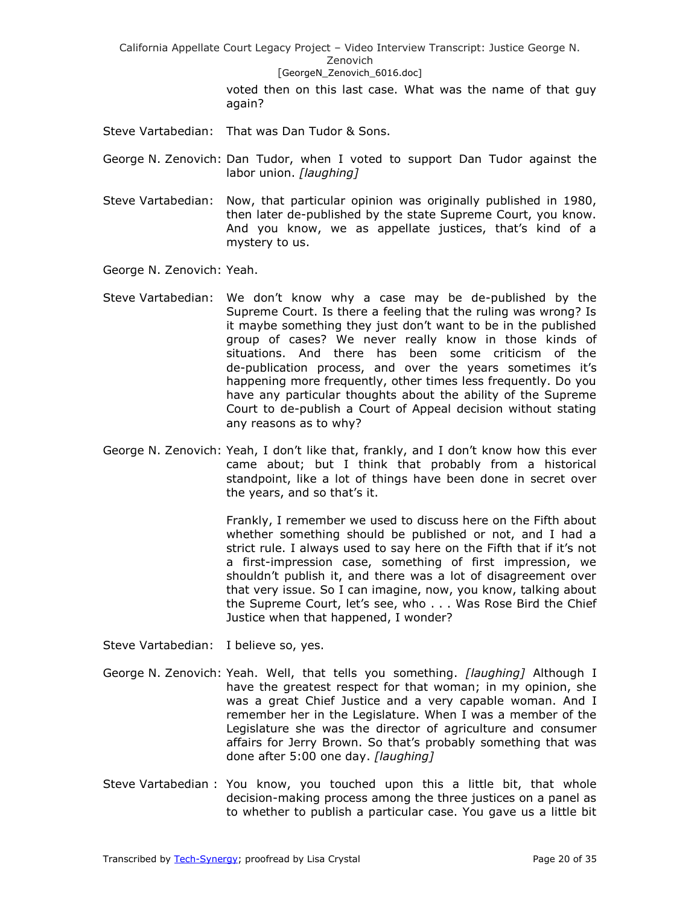> voted then on this last case. What was the name of that guy again?

Steve Vartabedian: That was Dan Tudor & Sons.

George N. Zenovich: Dan Tudor, when I voted to support Dan Tudor against the labor union. *[laughing]*

- Steve Vartabedian: Now, that particular opinion was originally published in 1980, then later de-published by the state Supreme Court, you know. And you know, we as appellate justices, that's kind of a mystery to us.
- George N. Zenovich: Yeah.
- Steve Vartabedian: We don't know why a case may be de-published by the Supreme Court. Is there a feeling that the ruling was wrong? Is it maybe something they just don't want to be in the published group of cases? We never really know in those kinds of situations. And there has been some criticism of the de-publication process, and over the years sometimes it's happening more frequently, other times less frequently. Do you have any particular thoughts about the ability of the Supreme Court to de-publish a Court of Appeal decision without stating any reasons as to why?
- George N. Zenovich: Yeah, I don't like that, frankly, and I don't know how this ever came about; but I think that probably from a historical standpoint, like a lot of things have been done in secret over the years, and so that's it.

Frankly, I remember we used to discuss here on the Fifth about whether something should be published or not, and I had a strict rule. I always used to say here on the Fifth that if it's not a first-impression case, something of first impression, we shouldn't publish it, and there was a lot of disagreement over that very issue. So I can imagine, now, you know, talking about the Supreme Court, let's see, who . . . Was Rose Bird the Chief Justice when that happened, I wonder?

Steve Vartabedian: I believe so, yes.

- George N. Zenovich: Yeah. Well, that tells you something. *[laughing]* Although I have the greatest respect for that woman; in my opinion, she was a great Chief Justice and a very capable woman. And I remember her in the Legislature. When I was a member of the Legislature she was the director of agriculture and consumer affairs for Jerry Brown. So that's probably something that was done after 5:00 one day. *[laughing]*
- Steve Vartabedian : You know, you touched upon this a little bit, that whole decision-making process among the three justices on a panel as to whether to publish a particular case. You gave us a little bit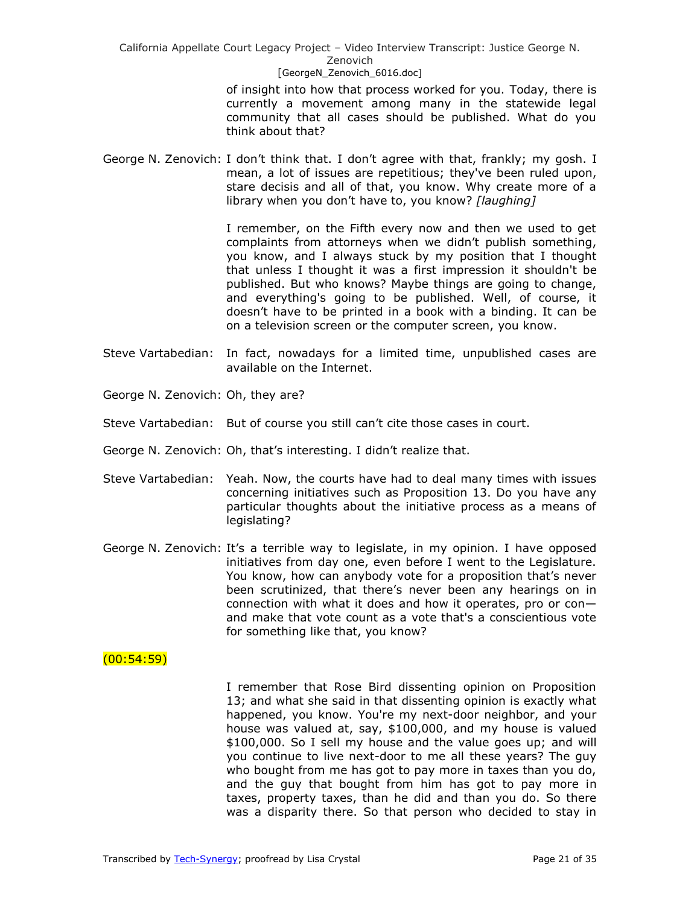> of insight into how that process worked for you. Today, there is currently a movement among many in the statewide legal community that all cases should be published. What do you think about that?

George N. Zenovich: I don't think that. I don't agree with that, frankly; my gosh. I mean, a lot of issues are repetitious; they've been ruled upon, stare decisis and all of that, you know. Why create more of a library when you don't have to, you know? *[laughing]*

> I remember, on the Fifth every now and then we used to get complaints from attorneys when we didn't publish something, you know, and I always stuck by my position that I thought that unless I thought it was a first impression it shouldn't be published. But who knows? Maybe things are going to change, and everything's going to be published. Well, of course, it doesn't have to be printed in a book with a binding. It can be on a television screen or the computer screen, you know.

- Steve Vartabedian: In fact, nowadays for a limited time, unpublished cases are available on the Internet.
- George N. Zenovich: Oh, they are?
- Steve Vartabedian: But of course you still can't cite those cases in court.
- George N. Zenovich: Oh, that's interesting. I didn't realize that.
- Steve Vartabedian: Yeah. Now, the courts have had to deal many times with issues concerning initiatives such as Proposition 13. Do you have any particular thoughts about the initiative process as a means of legislating?
- George N. Zenovich: It's a terrible way to legislate, in my opinion. I have opposed initiatives from day one, even before I went to the Legislature. You know, how can anybody vote for a proposition that's never been scrutinized, that there's never been any hearings on in connection with what it does and how it operates, pro or con and make that vote count as a vote that's a conscientious vote for something like that, you know?

### $(00:54:59)$

I remember that Rose Bird dissenting opinion on Proposition 13; and what she said in that dissenting opinion is exactly what happened, you know. You're my next-door neighbor, and your house was valued at, say, \$100,000, and my house is valued \$100,000. So I sell my house and the value goes up; and will you continue to live next-door to me all these years? The guy who bought from me has got to pay more in taxes than you do, and the guy that bought from him has got to pay more in taxes, property taxes, than he did and than you do. So there was a disparity there. So that person who decided to stay in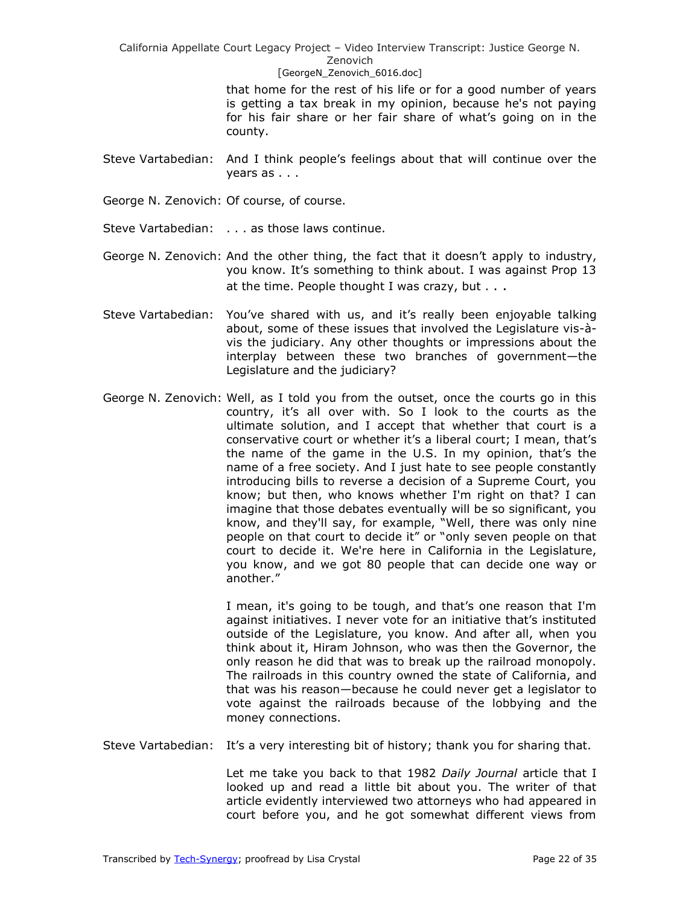#### Zenovich [GeorgeN Zenovich 6016.doc]

that home for the rest of his life or for a good number of years is getting a tax break in my opinion, because he's not paying for his fair share or her fair share of what's going on in the county.

- Steve Vartabedian: And I think people's feelings about that will continue over the years as . . .
- George N. Zenovich: Of course, of course.
- Steve Vartabedian: . . . as those laws continue.
- George N. Zenovich: And the other thing, the fact that it doesn't apply to industry, you know. It's something to think about. I was against Prop 13 at the time. People thought I was crazy, but . . .
- Steve Vartabedian: You've shared with us, and it's really been enjoyable talking about, some of these issues that involved the Legislature vis-àvis the judiciary. Any other thoughts or impressions about the interplay between these two branches of government—the Legislature and the judiciary?
- George N. Zenovich: Well, as I told you from the outset, once the courts go in this country, it's all over with. So I look to the courts as the ultimate solution, and I accept that whether that court is a conservative court or whether it's a liberal court; I mean, that's the name of the game in the U.S. In my opinion, that's the name of a free society. And I just hate to see people constantly introducing bills to reverse a decision of a Supreme Court, you know; but then, who knows whether I'm right on that? I can imagine that those debates eventually will be so significant, you know, and they'll say, for example, "Well, there was only nine people on that court to decide it" or "only seven people on that court to decide it. We're here in California in the Legislature, you know, and we got 80 people that can decide one way or another."

I mean, it's going to be tough, and that's one reason that I'm against initiatives. I never vote for an initiative that's instituted outside of the Legislature, you know. And after all, when you think about it, Hiram Johnson, who was then the Governor, the only reason he did that was to break up the railroad monopoly. The railroads in this country owned the state of California, and that was his reason—because he could never get a legislator to vote against the railroads because of the lobbying and the money connections.

Steve Vartabedian: It's a very interesting bit of history; thank you for sharing that.

Let me take you back to that 1982 *Daily Journal* article that I looked up and read a little bit about you. The writer of that article evidently interviewed two attorneys who had appeared in court before you, and he got somewhat different views from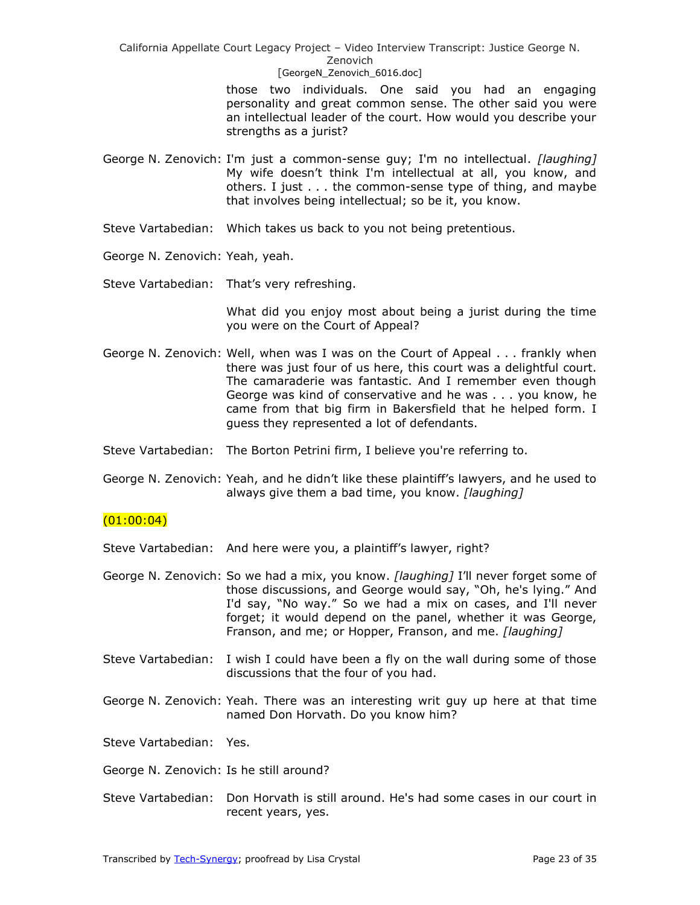#### [GeorgeN\_Zenovich\_6016.doc]

those two individuals. One said you had an engaging personality and great common sense. The other said you were an intellectual leader of the court. How would you describe your strengths as a jurist?

- George N. Zenovich: I'm just a common-sense guy; I'm no intellectual. *[laughing]* My wife doesn't think I'm intellectual at all, you know, and others. I just . . . the common-sense type of thing, and maybe that involves being intellectual; so be it, you know.
- Steve Vartabedian: Which takes us back to you not being pretentious.
- George N. Zenovich: Yeah, yeah.
- Steve Vartabedian: That's very refreshing.

What did you enjoy most about being a jurist during the time you were on the Court of Appeal?

- George N. Zenovich: Well, when was I was on the Court of Appeal . . . frankly when there was just four of us here, this court was a delightful court. The camaraderie was fantastic. And I remember even though George was kind of conservative and he was . . . you know, he came from that big firm in Bakersfield that he helped form. I guess they represented a lot of defendants.
- Steve Vartabedian: The Borton Petrini firm, I believe you're referring to.
- George N. Zenovich: Yeah, and he didn't like these plaintiff's lawyers, and he used to always give them a bad time, you know. *[laughing]*

# $(01:00:04)$

- Steve Vartabedian: And here were you, a plaintiff's lawyer, right?
- George N. Zenovich: So we had a mix, you know. *[laughing]* I'll never forget some of those discussions, and George would say, "Oh, he's lying." And I'd say, "No way." So we had a mix on cases, and I'll never forget; it would depend on the panel, whether it was George, Franson, and me; or Hopper, Franson, and me. *[laughing]*
- Steve Vartabedian: I wish I could have been a fly on the wall during some of those discussions that the four of you had.
- George N. Zenovich: Yeah. There was an interesting writ guy up here at that time named Don Horvath. Do you know him?
- Steve Vartabedian: Yes.
- George N. Zenovich: Is he still around?
- Steve Vartabedian: Don Horvath is still around. He's had some cases in our court in recent years, yes.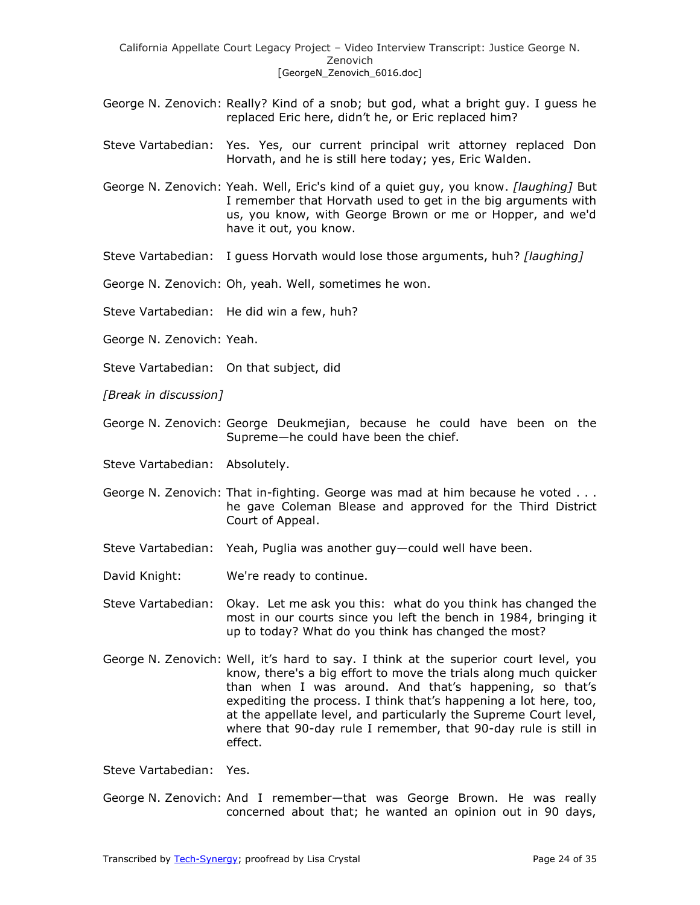- George N. Zenovich: Really? Kind of a snob; but god, what a bright guy. I guess he replaced Eric here, didn't he, or Eric replaced him?
- Steve Vartabedian: Yes. Yes, our current principal writ attorney replaced Don Horvath, and he is still here today; yes, Eric Walden.
- George N. Zenovich: Yeah. Well, Eric's kind of a quiet guy, you know. *[laughing]* But I remember that Horvath used to get in the big arguments with us, you know, with George Brown or me or Hopper, and we'd have it out, you know.
- Steve Vartabedian: I guess Horvath would lose those arguments, huh? *[laughing]*
- George N. Zenovich: Oh, yeah. Well, sometimes he won.
- Steve Vartabedian: He did win a few, huh?
- George N. Zenovich: Yeah.
- Steve Vartabedian: On that subject, did
- *[Break in discussion]*
- George N. Zenovich: George Deukmejian, because he could have been on the Supreme—he could have been the chief.
- Steve Vartabedian: Absolutely.
- George N. Zenovich: That in-fighting. George was mad at him because he voted . . . he gave Coleman Blease and approved for the Third District Court of Appeal.
- Steve Vartabedian: Yeah, Puglia was another guy—could well have been.
- David Knight: We're ready to continue.
- Steve Vartabedian: Okay. Let me ask you this: what do you think has changed the most in our courts since you left the bench in 1984, bringing it up to today? What do you think has changed the most?
- George N. Zenovich: Well, it's hard to say. I think at the superior court level, you know, there's a big effort to move the trials along much quicker than when I was around. And that's happening, so that's expediting the process. I think that's happening a lot here, too, at the appellate level, and particularly the Supreme Court level, where that 90-day rule I remember, that 90-day rule is still in effect.

Steve Vartabedian: Yes.

George N. Zenovich: And I remember—that was George Brown. He was really concerned about that; he wanted an opinion out in 90 days,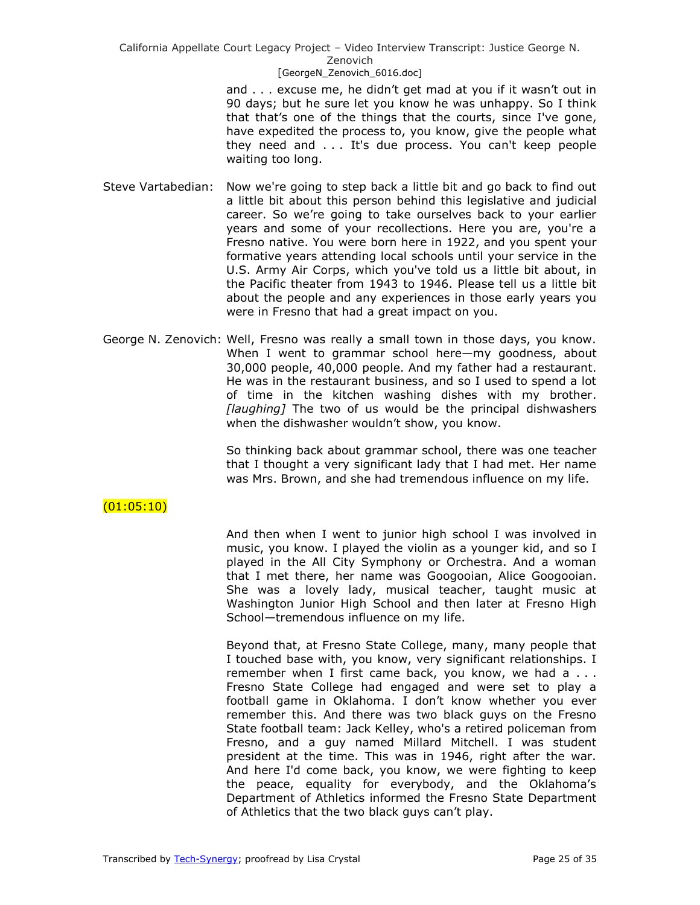> and . . . excuse me, he didn't get mad at you if it wasn't out in 90 days; but he sure let you know he was unhappy. So I think that that's one of the things that the courts, since I've gone, have expedited the process to, you know, give the people what they need and . . . It's due process. You can't keep people waiting too long.

- Steve Vartabedian: Now we're going to step back a little bit and go back to find out a little bit about this person behind this legislative and judicial career. So we're going to take ourselves back to your earlier years and some of your recollections. Here you are, you're a Fresno native. You were born here in 1922, and you spent your formative years attending local schools until your service in the U.S. Army Air Corps, which you've told us a little bit about, in the Pacific theater from 1943 to 1946. Please tell us a little bit about the people and any experiences in those early years you were in Fresno that had a great impact on you.
- George N. Zenovich: Well, Fresno was really a small town in those days, you know. When I went to grammar school here—my goodness, about 30,000 people, 40,000 people. And my father had a restaurant. He was in the restaurant business, and so I used to spend a lot of time in the kitchen washing dishes with my brother. *[laughing]* The two of us would be the principal dishwashers when the dishwasher wouldn't show, you know.

So thinking back about grammar school, there was one teacher that I thought a very significant lady that I had met. Her name was Mrs. Brown, and she had tremendous influence on my life.

# $(01:05:10)$

And then when I went to junior high school I was involved in music, you know. I played the violin as a younger kid, and so I played in the All City Symphony or Orchestra. And a woman that I met there, her name was Googooian, Alice Googooian. She was a lovely lady, musical teacher, taught music at Washington Junior High School and then later at Fresno High School—tremendous influence on my life.

Beyond that, at Fresno State College, many, many people that I touched base with, you know, very significant relationships. I remember when I first came back, you know, we had a ... Fresno State College had engaged and were set to play a football game in Oklahoma. I don't know whether you ever remember this. And there was two black guys on the Fresno State football team: Jack Kelley, who's a retired policeman from Fresno, and a guy named Millard Mitchell. I was student president at the time. This was in 1946, right after the war. And here I'd come back, you know, we were fighting to keep the peace, equality for everybody, and the Oklahoma's Department of Athletics informed the Fresno State Department of Athletics that the two black guys can't play.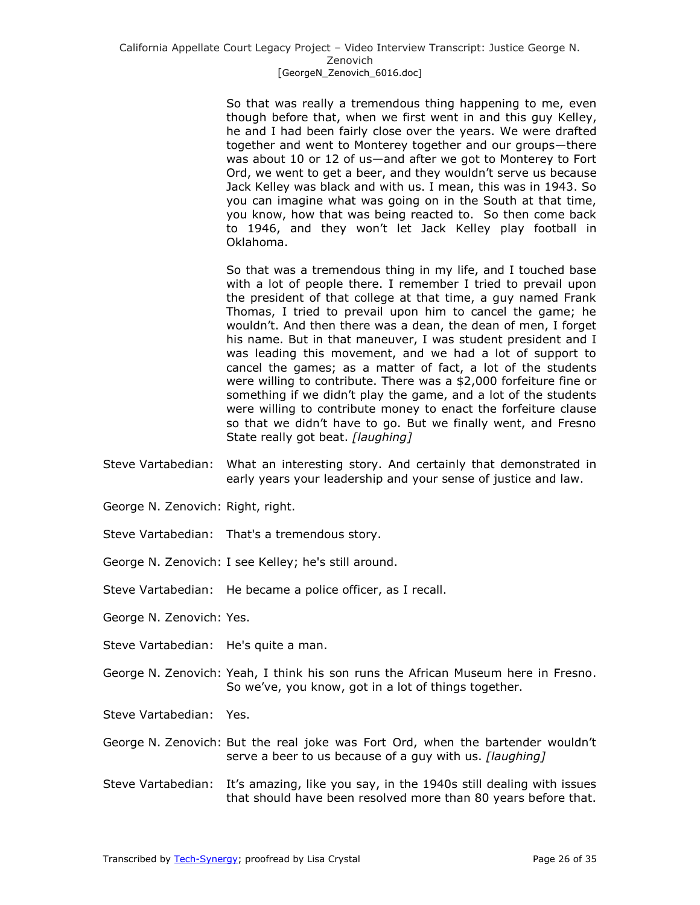So that was really a tremendous thing happening to me, even though before that, when we first went in and this guy Kelley, he and I had been fairly close over the years. We were drafted together and went to Monterey together and our groups—there was about 10 or 12 of us—and after we got to Monterey to Fort Ord, we went to get a beer, and they wouldn't serve us because Jack Kelley was black and with us. I mean, this was in 1943. So you can imagine what was going on in the South at that time, you know, how that was being reacted to. So then come back to 1946, and they won't let Jack Kelley play football in Oklahoma.

So that was a tremendous thing in my life, and I touched base with a lot of people there. I remember I tried to prevail upon the president of that college at that time, a guy named Frank Thomas, I tried to prevail upon him to cancel the game; he wouldn't. And then there was a dean, the dean of men, I forget his name. But in that maneuver, I was student president and I was leading this movement, and we had a lot of support to cancel the games; as a matter of fact, a lot of the students were willing to contribute. There was a \$2,000 forfeiture fine or something if we didn't play the game, and a lot of the students were willing to contribute money to enact the forfeiture clause so that we didn't have to go. But we finally went, and Fresno State really got beat. *[laughing]*

- Steve Vartabedian: What an interesting story. And certainly that demonstrated in early years your leadership and your sense of justice and law.
- George N. Zenovich: Right, right.
- Steve Vartabedian: That's a tremendous story.
- George N. Zenovich: I see Kelley; he's still around.
- Steve Vartabedian: He became a police officer, as I recall.
- George N. Zenovich: Yes.
- Steve Vartabedian: He's quite a man.
- George N. Zenovich: Yeah, I think his son runs the African Museum here in Fresno. So we've, you know, got in a lot of things together.
- Steve Vartabedian: Yes.
- George N. Zenovich: But the real joke was Fort Ord, when the bartender wouldn't serve a beer to us because of a guy with us. *[laughing]*
- Steve Vartabedian: It's amazing, like you say, in the 1940s still dealing with issues that should have been resolved more than 80 years before that.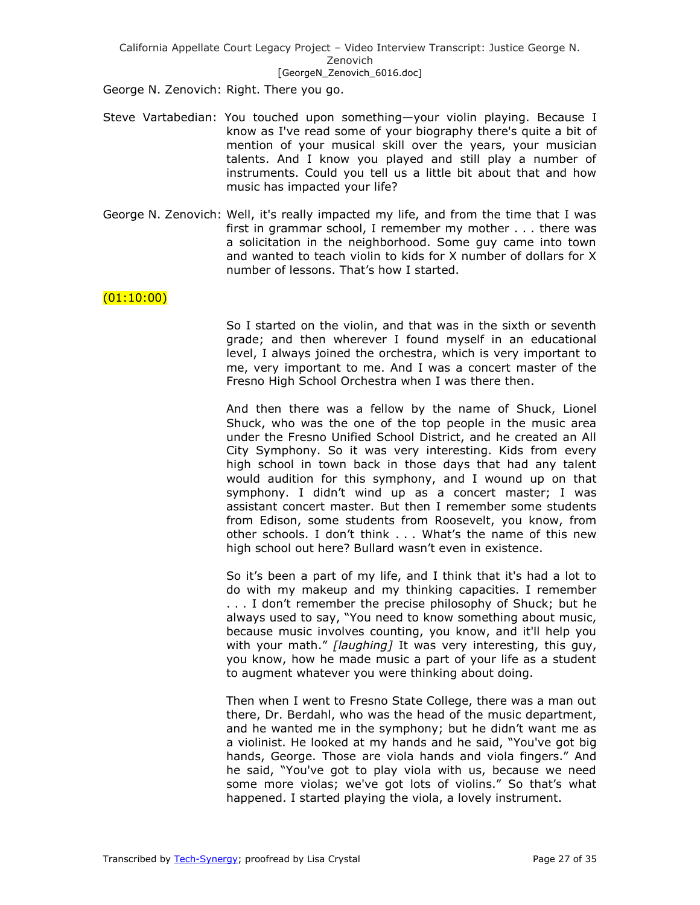George N. Zenovich: Right. There you go.

- Steve Vartabedian: You touched upon something—your violin playing. Because I know as I've read some of your biography there's quite a bit of mention of your musical skill over the years, your musician talents. And I know you played and still play a number of instruments. Could you tell us a little bit about that and how music has impacted your life?
- George N. Zenovich: Well, it's really impacted my life, and from the time that I was first in grammar school, I remember my mother . . . there was a solicitation in the neighborhood. Some guy came into town and wanted to teach violin to kids for X number of dollars for X number of lessons. That's how I started.

# $(01:10:00)$

So I started on the violin, and that was in the sixth or seventh grade; and then wherever I found myself in an educational level, I always joined the orchestra, which is very important to me, very important to me. And I was a concert master of the Fresno High School Orchestra when I was there then.

And then there was a fellow by the name of Shuck, Lionel Shuck, who was the one of the top people in the music area under the Fresno Unified School District, and he created an All City Symphony. So it was very interesting. Kids from every high school in town back in those days that had any talent would audition for this symphony, and I wound up on that symphony. I didn't wind up as a concert master; I was assistant concert master. But then I remember some students from Edison, some students from Roosevelt, you know, from other schools. I don't think . . . What's the name of this new high school out here? Bullard wasn't even in existence.

So it's been a part of my life, and I think that it's had a lot to do with my makeup and my thinking capacities. I remember . . . I don't remember the precise philosophy of Shuck; but he always used to say, "You need to know something about music, because music involves counting, you know, and it'll help you with your math." [laughing] It was very interesting, this guy, you know, how he made music a part of your life as a student to augment whatever you were thinking about doing.

Then when I went to Fresno State College, there was a man out there, Dr. Berdahl, who was the head of the music department, and he wanted me in the symphony; but he didn't want me as a violinist. He looked at my hands and he said, "You've got big hands, George. Those are viola hands and viola fingers." And he said, "You've got to play viola with us, because we need some more violas; we've got lots of violins." So that's what happened. I started playing the viola, a lovely instrument.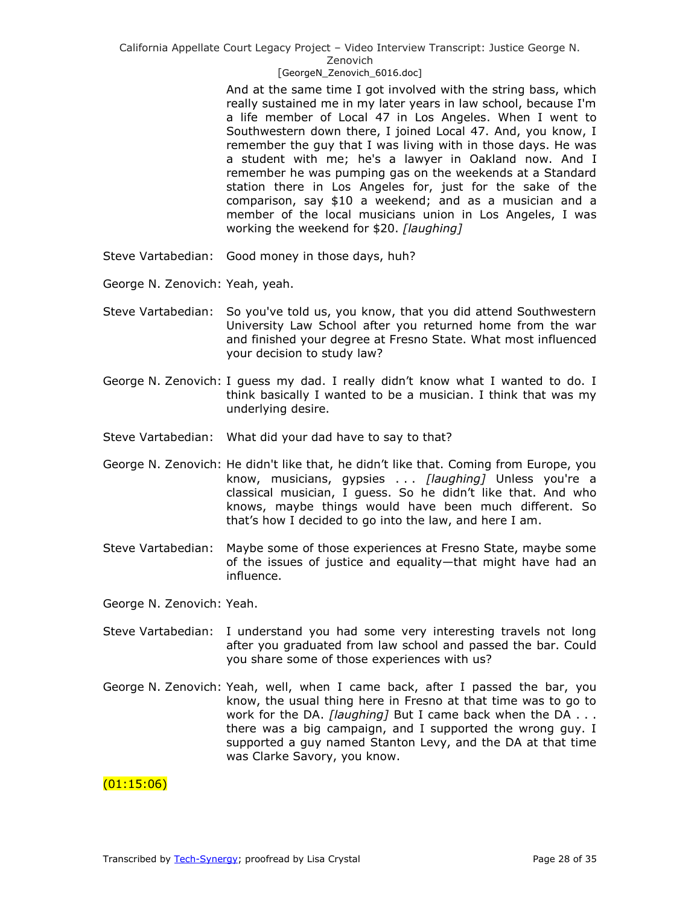### [GeorgeN Zenovich 6016.doc]

And at the same time I got involved with the string bass, which really sustained me in my later years in law school, because I'm a life member of Local 47 in Los Angeles. When I went to Southwestern down there, I joined Local 47. And, you know, I remember the guy that I was living with in those days. He was a student with me; he's a lawyer in Oakland now. And I remember he was pumping gas on the weekends at a Standard station there in Los Angeles for, just for the sake of the comparison, say \$10 a weekend; and as a musician and a member of the local musicians union in Los Angeles, I was working the weekend for \$20. *[laughing]*

- Steve Vartabedian: Good money in those days, huh?
- George N. Zenovich: Yeah, yeah.
- Steve Vartabedian: So you've told us, you know, that you did attend Southwestern University Law School after you returned home from the war and finished your degree at Fresno State. What most influenced your decision to study law?
- George N. Zenovich: I guess my dad. I really didn't know what I wanted to do. I think basically I wanted to be a musician. I think that was my underlying desire.
- Steve Vartabedian: What did your dad have to say to that?
- George N. Zenovich: He didn't like that, he didn't like that. Coming from Europe, you know, musicians, gypsies . . . *[laughing]* Unless you're a classical musician, I guess. So he didn't like that. And who knows, maybe things would have been much different. So that's how I decided to go into the law, and here I am.
- Steve Vartabedian: Maybe some of those experiences at Fresno State, maybe some of the issues of justice and equality—that might have had an influence.

George N. Zenovich: Yeah.

- Steve Vartabedian: I understand you had some very interesting travels not long after you graduated from law school and passed the bar. Could you share some of those experiences with us?
- George N. Zenovich: Yeah, well, when I came back, after I passed the bar, you know, the usual thing here in Fresno at that time was to go to work for the DA. *[laughing]* But I came back when the DA . . . there was a big campaign, and I supported the wrong guy. I supported a guy named Stanton Levy, and the DA at that time was Clarke Savory, you know.

# (01:15:06)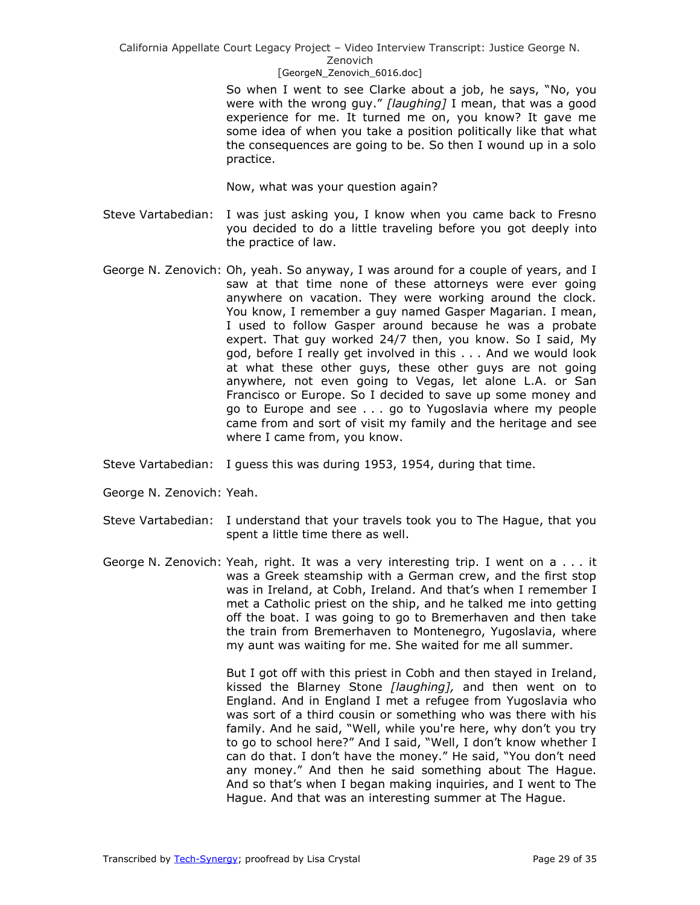# [GeorgeN Zenovich 6016.doc]

So when I went to see Clarke about a job, he says, "No, you were with the wrong guy." [laughing] I mean, that was a good experience for me. It turned me on, you know? It gave me some idea of when you take a position politically like that what the consequences are going to be. So then I wound up in a solo practice.

Now, what was your question again?

- Steve Vartabedian: I was just asking you, I know when you came back to Fresno you decided to do a little traveling before you got deeply into the practice of law.
- George N. Zenovich: Oh, yeah. So anyway, I was around for a couple of years, and I saw at that time none of these attorneys were ever going anywhere on vacation. They were working around the clock. You know, I remember a guy named Gasper Magarian. I mean, I used to follow Gasper around because he was a probate expert. That guy worked 24/7 then, you know. So I said, My god, before I really get involved in this . . . And we would look at what these other guys, these other guys are not going anywhere, not even going to Vegas, let alone L.A. or San Francisco or Europe. So I decided to save up some money and go to Europe and see . . . go to Yugoslavia where my people came from and sort of visit my family and the heritage and see where I came from, you know.
- Steve Vartabedian: I guess this was during 1953, 1954, during that time.
- George N. Zenovich: Yeah.
- Steve Vartabedian: I understand that your travels took you to The Hague, that you spent a little time there as well.
- George N. Zenovich: Yeah, right. It was a very interesting trip. I went on a . . . it was a Greek steamship with a German crew, and the first stop was in Ireland, at Cobh, Ireland. And that's when I remember I met a Catholic priest on the ship, and he talked me into getting off the boat. I was going to go to Bremerhaven and then take the train from Bremerhaven to Montenegro, Yugoslavia, where my aunt was waiting for me. She waited for me all summer.

But I got off with this priest in Cobh and then stayed in Ireland, kissed the Blarney Stone *[laughing],* and then went on to England. And in England I met a refugee from Yugoslavia who was sort of a third cousin or something who was there with his family. And he said, "Well, while you're here, why don't you try to go to school here?" And I said, "Well, I don't know whether I can do that. I don't have the money." He said, "You don't need any money." And then he said something about The Hague. And so that's when I began making inquiries, and I went to The Hague. And that was an interesting summer at The Hague.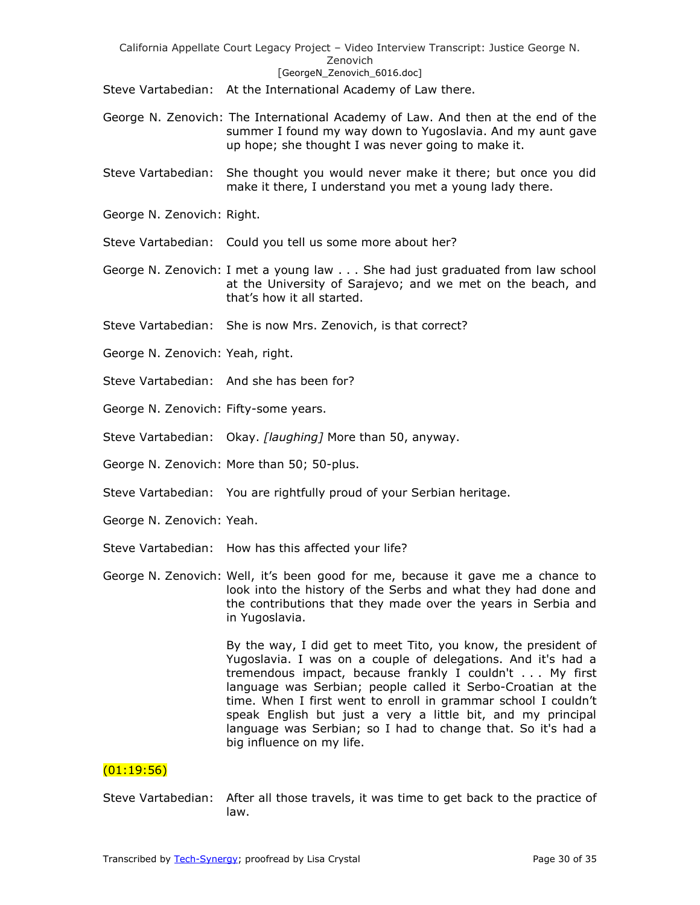Steve Vartabedian: At the International Academy of Law there.

- George N. Zenovich: The International Academy of Law. And then at the end of the summer I found my way down to Yugoslavia. And my aunt gave up hope; she thought I was never going to make it.
- Steve Vartabedian: She thought you would never make it there; but once you did make it there, I understand you met a young lady there.
- George N. Zenovich: Right.

Steve Vartabedian: Could you tell us some more about her?

- George N. Zenovich: I met a young law . . . She had just graduated from law school at the University of Sarajevo; and we met on the beach, and that's how it all started.
- Steve Vartabedian: She is now Mrs. Zenovich, is that correct?
- George N. Zenovich: Yeah, right.
- Steve Vartabedian: And she has been for?
- George N. Zenovich: Fifty-some years.
- Steve Vartabedian: Okay. *[laughing]* More than 50, anyway.
- George N. Zenovich: More than 50; 50-plus.
- Steve Vartabedian: You are rightfully proud of your Serbian heritage.
- George N. Zenovich: Yeah.
- Steve Vartabedian: How has this affected your life?
- George N. Zenovich: Well, it's been good for me, because it gave me a chance to look into the history of the Serbs and what they had done and the contributions that they made over the years in Serbia and in Yugoslavia.

By the way, I did get to meet Tito, you know, the president of Yugoslavia. I was on a couple of delegations. And it's had a tremendous impact, because frankly I couldn't . . . My first language was Serbian; people called it Serbo-Croatian at the time. When I first went to enroll in grammar school I couldn't speak English but just a very a little bit, and my principal language was Serbian; so I had to change that. So it's had a big influence on my life.

# $(01:19:56)$

Steve Vartabedian: After all those travels, it was time to get back to the practice of law.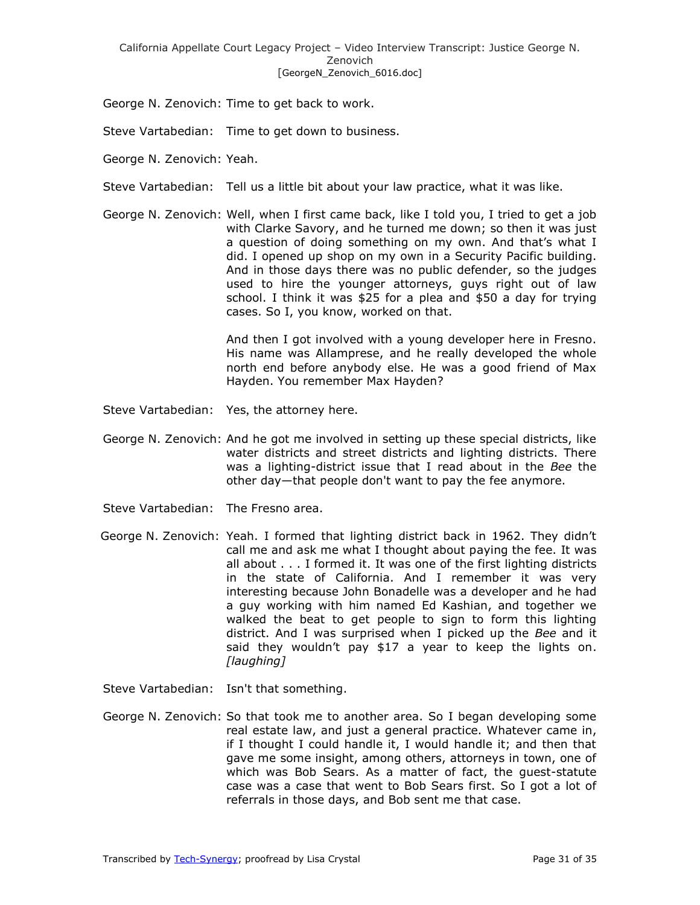George N. Zenovich: Time to get back to work.

Steve Vartabedian: Time to get down to business.

- George N. Zenovich: Yeah.
- Steve Vartabedian: Tell us a little bit about your law practice, what it was like.
- George N. Zenovich: Well, when I first came back, like I told you, I tried to get a job with Clarke Savory, and he turned me down; so then it was just a question of doing something on my own. And that's what I did. I opened up shop on my own in a Security Pacific building. And in those days there was no public defender, so the judges used to hire the younger attorneys, guys right out of law school. I think it was \$25 for a plea and \$50 a day for trying cases. So I, you know, worked on that.

And then I got involved with a young developer here in Fresno. His name was Allamprese, and he really developed the whole north end before anybody else. He was a good friend of Max Hayden. You remember Max Hayden?

- Steve Vartabedian: Yes, the attorney here.
- George N. Zenovich: And he got me involved in setting up these special districts, like water districts and street districts and lighting districts. There was a lighting-district issue that I read about in the *Bee* the other day—that people don't want to pay the fee anymore.
- Steve Vartabedian: The Fresno area.
- George N. Zenovich: Yeah. I formed that lighting district back in 1962. They didn't call me and ask me what I thought about paying the fee. It was all about . . . I formed it. It was one of the first lighting districts in the state of California. And I remember it was very interesting because John Bonadelle was a developer and he had a guy working with him named Ed Kashian, and together we walked the beat to get people to sign to form this lighting district. And I was surprised when I picked up the *Bee* and it said they wouldn't pay \$17 a year to keep the lights on. *[laughing]*
- Steve Vartabedian: Isn't that something.
- George N. Zenovich: So that took me to another area. So I began developing some real estate law, and just a general practice. Whatever came in, if I thought I could handle it, I would handle it; and then that gave me some insight, among others, attorneys in town, one of which was Bob Sears. As a matter of fact, the guest-statute case was a case that went to Bob Sears first. So I got a lot of referrals in those days, and Bob sent me that case.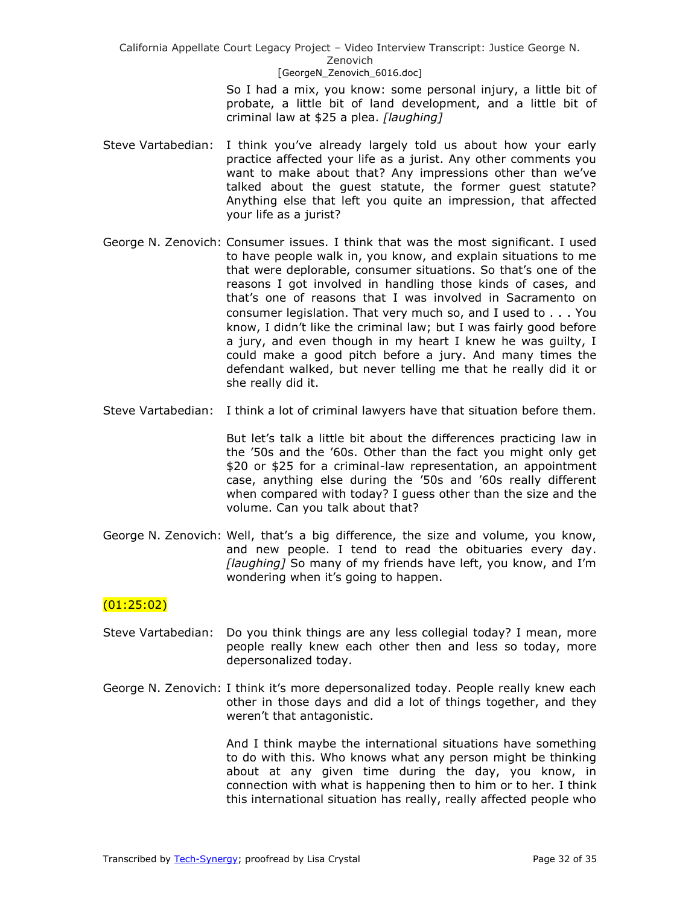> So I had a mix, you know: some personal injury, a little bit of probate, a little bit of land development, and a little bit of criminal law at \$25 a plea. *[laughing]*

- Steve Vartabedian: I think you've already largely told us about how your early practice affected your life as a jurist. Any other comments you want to make about that? Any impressions other than we've talked about the guest statute, the former guest statute? Anything else that left you quite an impression, that affected your life as a jurist?
- George N. Zenovich: Consumer issues. I think that was the most significant. I used to have people walk in, you know, and explain situations to me that were deplorable, consumer situations. So that's one of the reasons I got involved in handling those kinds of cases, and that's one of reasons that I was involved in Sacramento on consumer legislation. That very much so, and I used to . . . You know, I didn't like the criminal law; but I was fairly good before a jury, and even though in my heart I knew he was guilty, I could make a good pitch before a jury. And many times the defendant walked, but never telling me that he really did it or she really did it.
- Steve Vartabedian: I think a lot of criminal lawyers have that situation before them.

But let's talk a little bit about the differences practicing law in the '50s and the '60s. Other than the fact you might only get \$20 or \$25 for a criminal-law representation, an appointment case, anything else during the '50s and '60s really different when compared with today? I guess other than the size and the volume. Can you talk about that?

George N. Zenovich: Well, that's a big difference, the size and volume, you know, and new people. I tend to read the obituaries every day. *[laughing]* So many of my friends have left, you know, and I'm wondering when it's going to happen.

# (01:25:02)

- Steve Vartabedian: Do you think things are any less collegial today? I mean, more people really knew each other then and less so today, more depersonalized today.
- George N. Zenovich: I think it's more depersonalized today. People really knew each other in those days and did a lot of things together, and they weren't that antagonistic.

And I think maybe the international situations have something to do with this. Who knows what any person might be thinking about at any given time during the day, you know, in connection with what is happening then to him or to her. I think this international situation has really, really affected people who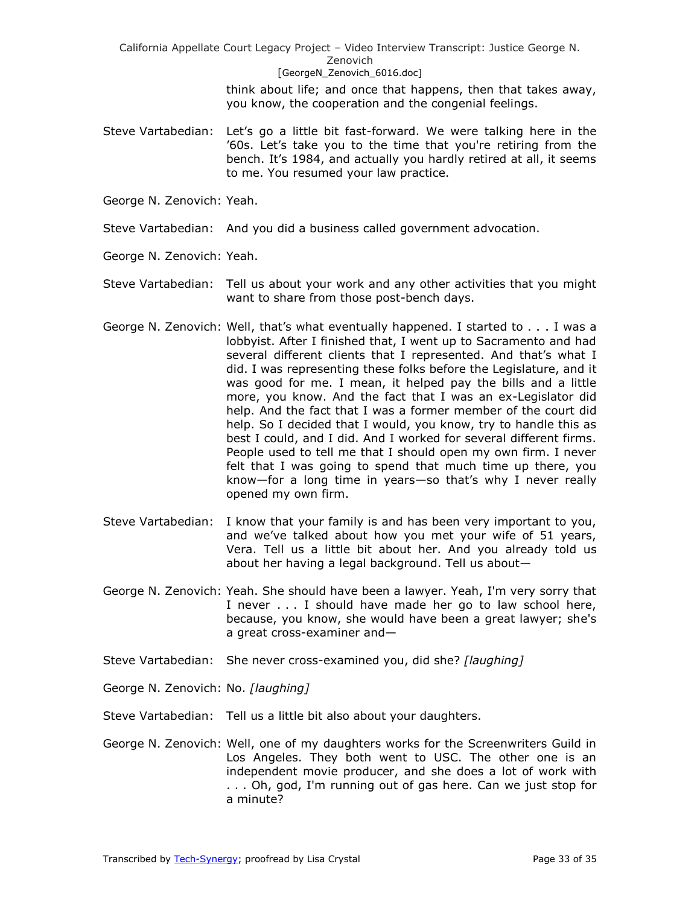> think about life; and once that happens, then that takes away, you know, the cooperation and the congenial feelings.

- Steve Vartabedian: Let's go a little bit fast-forward. We were talking here in the '60s. Let's take you to the time that you're retiring from the bench. It's 1984, and actually you hardly retired at all, it seems to me. You resumed your law practice.
- George N. Zenovich: Yeah.
- Steve Vartabedian: And you did a business called government advocation.
- George N. Zenovich: Yeah.
- Steve Vartabedian: Tell us about your work and any other activities that you might want to share from those post-bench days.
- George N. Zenovich: Well, that's what eventually happened. I started to . . . I was a lobbyist. After I finished that, I went up to Sacramento and had several different clients that I represented. And that's what I did. I was representing these folks before the Legislature, and it was good for me. I mean, it helped pay the bills and a little more, you know. And the fact that I was an ex-Legislator did help. And the fact that I was a former member of the court did help. So I decided that I would, you know, try to handle this as best I could, and I did. And I worked for several different firms. People used to tell me that I should open my own firm. I never felt that I was going to spend that much time up there, you know—for a long time in years—so that's why I never really opened my own firm.
- Steve Vartabedian: I know that your family is and has been very important to you, and we've talked about how you met your wife of 51 years, Vera. Tell us a little bit about her. And you already told us about her having a legal background. Tell us about—
- George N. Zenovich: Yeah. She should have been a lawyer. Yeah, I'm very sorry that I never . . . I should have made her go to law school here, because, you know, she would have been a great lawyer; she's a great cross-examiner and—
- Steve Vartabedian: She never cross-examined you, did she? *[laughing]*
- George N. Zenovich: No. *[laughing]*
- Steve Vartabedian: Tell us a little bit also about your daughters.
- George N. Zenovich: Well, one of my daughters works for the Screenwriters Guild in Los Angeles. They both went to USC. The other one is an independent movie producer, and she does a lot of work with . . . Oh, god, I'm running out of gas here. Can we just stop for a minute?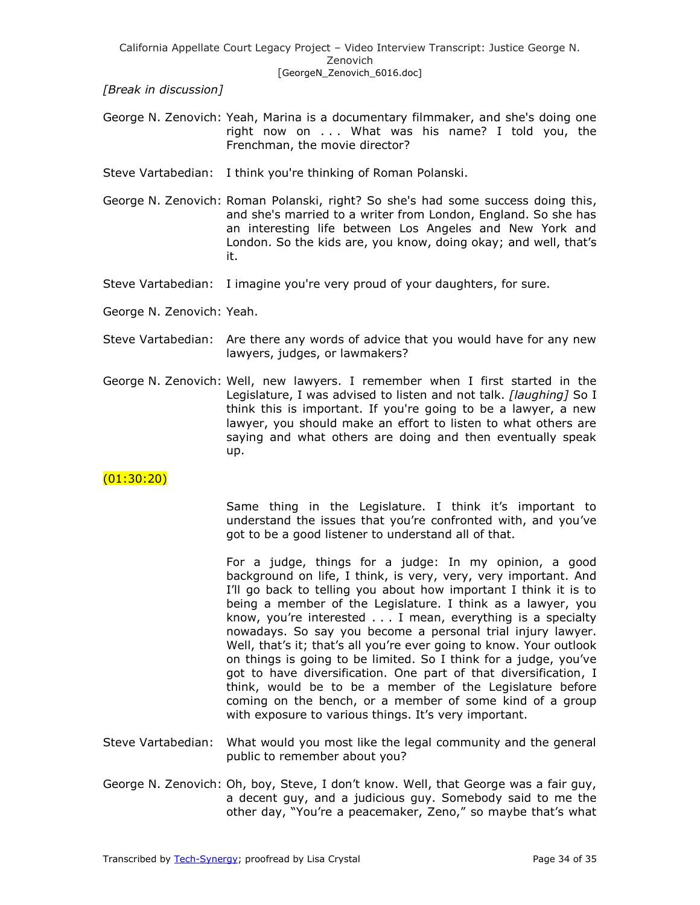*[Break in discussion]*

- George N. Zenovich: Yeah, Marina is a documentary filmmaker, and she's doing one right now on . . . What was his name? I told you, the Frenchman, the movie director?
- Steve Vartabedian: I think you're thinking of Roman Polanski.
- George N. Zenovich: Roman Polanski, right? So she's had some success doing this, and she's married to a writer from London, England. So she has an interesting life between Los Angeles and New York and London. So the kids are, you know, doing okay; and well, that's it.
- Steve Vartabedian: I imagine you're very proud of your daughters, for sure.
- George N. Zenovich: Yeah.
- Steve Vartabedian: Are there any words of advice that you would have for any new lawyers, judges, or lawmakers?
- George N. Zenovich: Well, new lawyers. I remember when I first started in the Legislature, I was advised to listen and not talk. *[laughing]* So I think this is important. If you're going to be a lawyer, a new lawyer, you should make an effort to listen to what others are saying and what others are doing and then eventually speak up.

 $(01:30:20)$ 

Same thing in the Legislature. I think it's important to understand the issues that you're confronted with, and you've got to be a good listener to understand all of that.

For a judge, things for a judge: In my opinion, a good background on life, I think, is very, very, very important. And I'll go back to telling you about how important I think it is to being a member of the Legislature. I think as a lawyer, you know, you're interested . . . I mean, everything is a specialty nowadays. So say you become a personal trial injury lawyer. Well, that's it; that's all you're ever going to know. Your outlook on things is going to be limited. So I think for a judge, you've got to have diversification. One part of that diversification, I think, would be to be a member of the Legislature before coming on the bench, or a member of some kind of a group with exposure to various things. It's very important.

- Steve Vartabedian: What would you most like the legal community and the general public to remember about you?
- George N. Zenovich: Oh, boy, Steve, I don't know. Well, that George was a fair guy, a decent guy, and a judicious guy. Somebody said to me the other day, "You're a peacemaker, Zeno," so maybe that's what